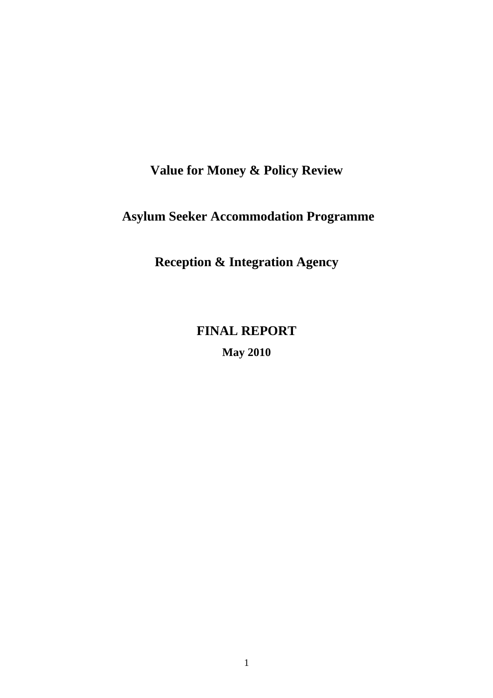# **Value for Money & Policy Review**

# **Asylum Seeker Accommodation Programme**

**Reception & Integration Agency** 

# **FINAL REPORT**

**May 2010**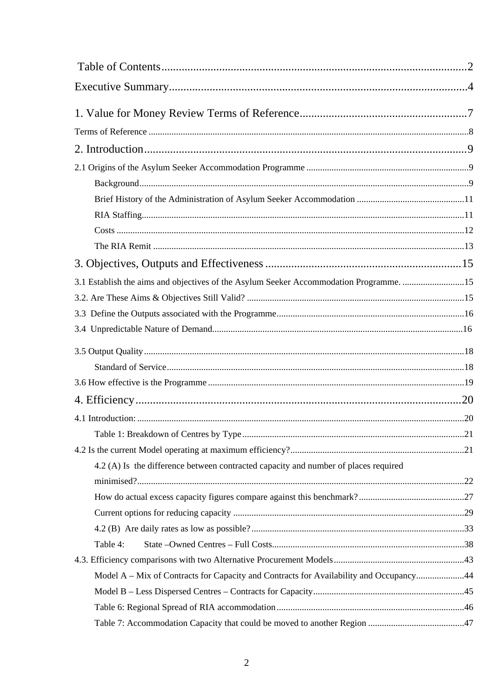| 3.1 Establish the aims and objectives of the Asylum Seeker Accommodation Programme. 15 |  |
|----------------------------------------------------------------------------------------|--|
|                                                                                        |  |
|                                                                                        |  |
|                                                                                        |  |
|                                                                                        |  |
|                                                                                        |  |
|                                                                                        |  |
|                                                                                        |  |
|                                                                                        |  |
|                                                                                        |  |
|                                                                                        |  |
| 4.2 (A) Is the difference between contracted capacity and number of places required    |  |
|                                                                                        |  |
|                                                                                        |  |
|                                                                                        |  |
|                                                                                        |  |
| Table 4:                                                                               |  |
|                                                                                        |  |
| Model A – Mix of Contracts for Capacity and Contracts for Availability and Occupancy44 |  |
|                                                                                        |  |
|                                                                                        |  |
|                                                                                        |  |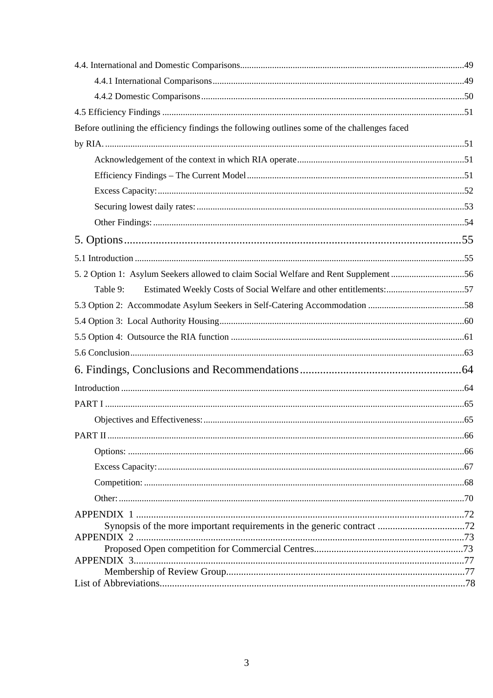| Before outlining the efficiency findings the following outlines some of the challenges faced |  |
|----------------------------------------------------------------------------------------------|--|
|                                                                                              |  |
|                                                                                              |  |
|                                                                                              |  |
|                                                                                              |  |
|                                                                                              |  |
|                                                                                              |  |
|                                                                                              |  |
|                                                                                              |  |
| 5. 2 Option 1: Asylum Seekers allowed to claim Social Welfare and Rent Supplement 56         |  |
| Estimated Weekly Costs of Social Welfare and other entitlements:57<br>Table 9:               |  |
|                                                                                              |  |
|                                                                                              |  |
|                                                                                              |  |
|                                                                                              |  |
|                                                                                              |  |
|                                                                                              |  |
|                                                                                              |  |
|                                                                                              |  |
|                                                                                              |  |
|                                                                                              |  |
|                                                                                              |  |
|                                                                                              |  |
|                                                                                              |  |
| <b>APPENDIX 1</b>                                                                            |  |
|                                                                                              |  |
|                                                                                              |  |
|                                                                                              |  |
|                                                                                              |  |
|                                                                                              |  |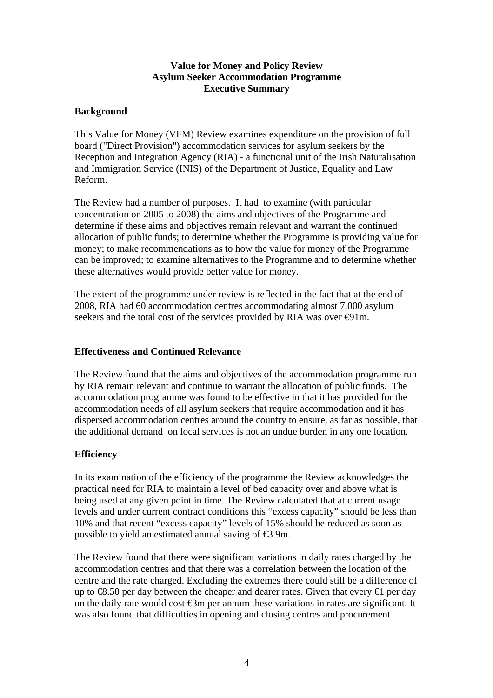### **Value for Money and Policy Review Asylum Seeker Accommodation Programme Executive Summary**

### **Background**

This Value for Money (VFM) Review examines expenditure on the provision of full board ("Direct Provision") accommodation services for asylum seekers by the Reception and Integration Agency (RIA) - a functional unit of the Irish Naturalisation and Immigration Service (INIS) of the Department of Justice, Equality and Law Reform.

The Review had a number of purposes. It had to examine (with particular concentration on 2005 to 2008) the aims and objectives of the Programme and determine if these aims and objectives remain relevant and warrant the continued allocation of public funds; to determine whether the Programme is providing value for money; to make recommendations as to how the value for money of the Programme can be improved; to examine alternatives to the Programme and to determine whether these alternatives would provide better value for money.

The extent of the programme under review is reflected in the fact that at the end of 2008, RIA had 60 accommodation centres accommodating almost 7,000 asylum seekers and the total cost of the services provided by RIA was over  $\Theta$ 1m.

#### **Effectiveness and Continued Relevance**

The Review found that the aims and objectives of the accommodation programme run by RIA remain relevant and continue to warrant the allocation of public funds. The accommodation programme was found to be effective in that it has provided for the accommodation needs of all asylum seekers that require accommodation and it has dispersed accommodation centres around the country to ensure, as far as possible, that the additional demand on local services is not an undue burden in any one location.

#### **Efficiency**

In its examination of the efficiency of the programme the Review acknowledges the practical need for RIA to maintain a level of bed capacity over and above what is being used at any given point in time. The Review calculated that at current usage levels and under current contract conditions this "excess capacity" should be less than 10% and that recent "excess capacity" levels of 15% should be reduced as soon as possible to yield an estimated annual saving of €3.9m.

The Review found that there were significant variations in daily rates charged by the accommodation centres and that there was a correlation between the location of the centre and the rate charged. Excluding the extremes there could still be a difference of up to  $\textcircled{48.50}$  per day between the cheaper and dearer rates. Given that every  $\textcircled{1}$  per day on the daily rate would cost €3m per annum these variations in rates are significant. It was also found that difficulties in opening and closing centres and procurement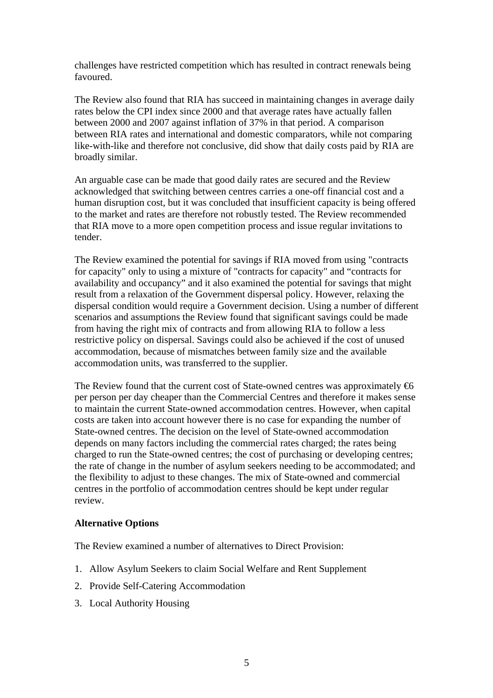challenges have restricted competition which has resulted in contract renewals being favoured.

The Review also found that RIA has succeed in maintaining changes in average daily rates below the CPI index since 2000 and that average rates have actually fallen between 2000 and 2007 against inflation of 37% in that period. A comparison between RIA rates and international and domestic comparators, while not comparing like-with-like and therefore not conclusive, did show that daily costs paid by RIA are broadly similar.

An arguable case can be made that good daily rates are secured and the Review acknowledged that switching between centres carries a one-off financial cost and a human disruption cost, but it was concluded that insufficient capacity is being offered to the market and rates are therefore not robustly tested. The Review recommended that RIA move to a more open competition process and issue regular invitations to tender.

The Review examined the potential for savings if RIA moved from using "contracts for capacity" only to using a mixture of "contracts for capacity" and "contracts for availability and occupancy" and it also examined the potential for savings that might result from a relaxation of the Government dispersal policy. However, relaxing the dispersal condition would require a Government decision. Using a number of different scenarios and assumptions the Review found that significant savings could be made from having the right mix of contracts and from allowing RIA to follow a less restrictive policy on dispersal. Savings could also be achieved if the cost of unused accommodation, because of mismatches between family size and the available accommodation units, was transferred to the supplier.

The Review found that the current cost of State-owned centres was approximately  $\bigoplus$ per person per day cheaper than the Commercial Centres and therefore it makes sense to maintain the current State-owned accommodation centres. However, when capital costs are taken into account however there is no case for expanding the number of State-owned centres. The decision on the level of State-owned accommodation depends on many factors including the commercial rates charged; the rates being charged to run the State-owned centres; the cost of purchasing or developing centres; the rate of change in the number of asylum seekers needing to be accommodated; and the flexibility to adjust to these changes. The mix of State-owned and commercial centres in the portfolio of accommodation centres should be kept under regular review.

#### **Alternative Options**

The Review examined a number of alternatives to Direct Provision:

- 1. Allow Asylum Seekers to claim Social Welfare and Rent Supplement
- 2. Provide Self-Catering Accommodation
- 3. Local Authority Housing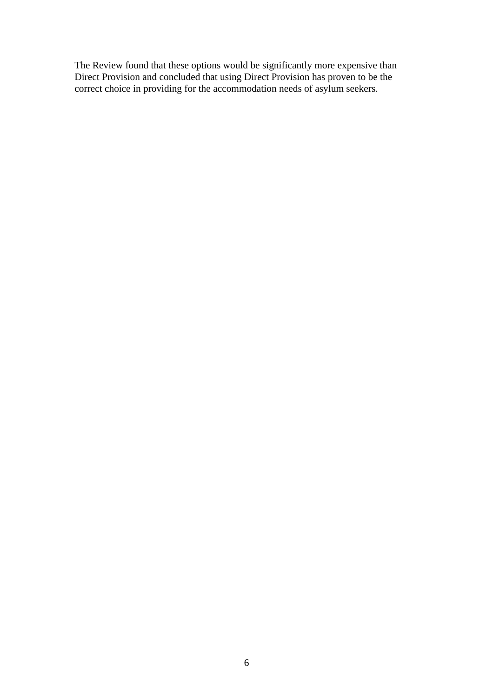The Review found that these options would be significantly more expensive than Direct Provision and concluded that using Direct Provision has proven to be the correct choice in providing for the accommodation needs of asylum seekers.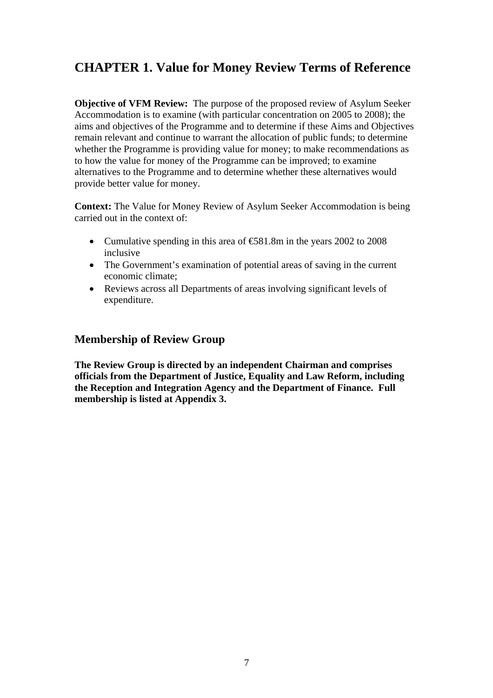# **CHAPTER 1. Value for Money Review Terms of Reference**

**Objective of VFM Review:** The purpose of the proposed review of Asylum Seeker Accommodation is to examine (with particular concentration on 2005 to 2008); the aims and objectives of the Programme and to determine if these Aims and Objectives remain relevant and continue to warrant the allocation of public funds; to determine whether the Programme is providing value for money; to make recommendations as to how the value for money of the Programme can be improved; to examine alternatives to the Programme and to determine whether these alternatives would provide better value for money.

**Context:** The Value for Money Review of Asylum Seeker Accommodation is being carried out in the context of:

- Cumulative spending in this area of  $\text{\textsterling}81.8m$  in the years 2002 to 2008 inclusive
- The Government's examination of potential areas of saving in the current economic climate;
- Reviews across all Departments of areas involving significant levels of expenditure.

### **Membership of Review Group**

**The Review Group is directed by an independent Chairman and comprises officials from the Department of Justice, Equality and Law Reform, including the Reception and Integration Agency and the Department of Finance. Full membership is listed at Appendix 3.**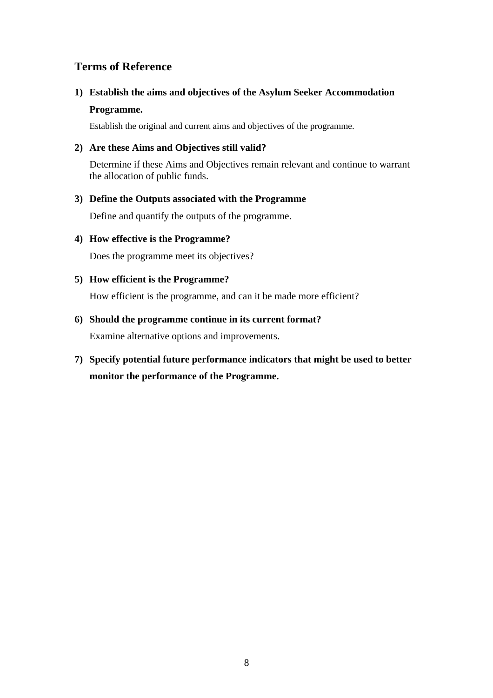### **Terms of Reference**

### **1) Establish the aims and objectives of the Asylum Seeker Accommodation Programme.**

Establish the original and current aims and objectives of the programme.

### **2) Are these Aims and Objectives still valid?**

Determine if these Aims and Objectives remain relevant and continue to warrant the allocation of public funds.

### **3) Define the Outputs associated with the Programme**

Define and quantify the outputs of the programme.

### **4) How effective is the Programme?**

Does the programme meet its objectives?

### **5) How efficient is the Programme?**

How efficient is the programme, and can it be made more efficient?

### **6) Should the programme continue in its current format?**

Examine alternative options and improvements.

**7) Specify potential future performance indicators that might be used to better monitor the performance of the Programme.**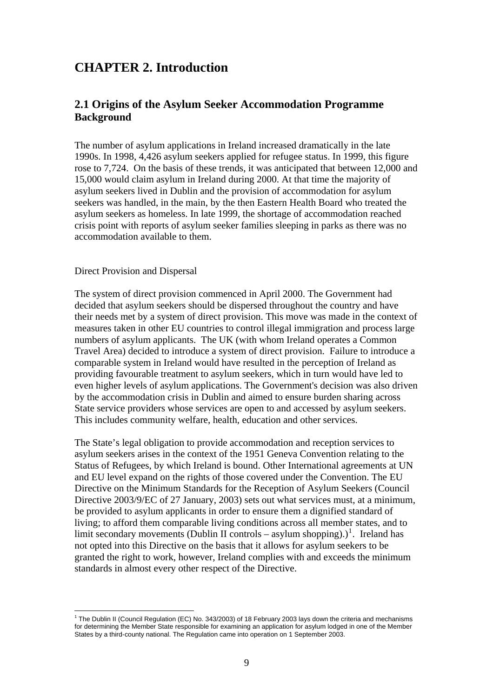## **CHAPTER 2. Introduction**

### **2.1 Origins of the Asylum Seeker Accommodation Programme Background**

The number of asylum applications in Ireland increased dramatically in the late 1990s. In 1998, 4,426 asylum seekers applied for refugee status. In 1999, this figure rose to 7,724. On the basis of these trends, it was anticipated that between 12,000 and 15,000 would claim asylum in Ireland during 2000. At that time the majority of asylum seekers lived in Dublin and the provision of accommodation for asylum seekers was handled, in the main, by the then Eastern Health Board who treated the asylum seekers as homeless. In late 1999, the shortage of accommodation reached crisis point with reports of asylum seeker families sleeping in parks as there was no accommodation available to them.

#### Direct Provision and Dispersal

 $\overline{a}$ 

The system of direct provision commenced in April 2000. The Government had decided that asylum seekers should be dispersed throughout the country and have their needs met by a system of direct provision. This move was made in the context of measures taken in other EU countries to control illegal immigration and process large numbers of asylum applicants. The UK (with whom Ireland operates a Common Travel Area) decided to introduce a system of direct provision. Failure to introduce a comparable system in Ireland would have resulted in the perception of Ireland as providing favourable treatment to asylum seekers, which in turn would have led to even higher levels of asylum applications. The Government's decision was also driven by the accommodation crisis in Dublin and aimed to ensure burden sharing across State service providers whose services are open to and accessed by asylum seekers. This includes community welfare, health, education and other services.

The State's legal obligation to provide accommodation and reception services to asylum seekers arises in the context of the 1951 Geneva Convention relating to the Status of Refugees, by which Ireland is bound. Other International agreements at UN and EU level expand on the rights of those covered under the Convention. The EU Directive on the Minimum Standards for the Reception of Asylum Seekers (Council Directive 2003/9/EC of 27 January, 2003) sets out what services must, at a minimum, be provided to asylum applicants in order to ensure them a dignified standard of living; to afford them comparable living conditions across all member states, and to limit secondary movements (Dublin II controls – asylum shopping).)<sup>[1](#page-8-0)</sup>. Ireland has not opted into this Directive on the basis that it allows for asylum seekers to be granted the right to work, however, Ireland complies with and exceeds the minimum standards in almost every other respect of the Directive.

<span id="page-8-0"></span><sup>&</sup>lt;sup>1</sup> The Dublin II (Council Regulation (EC) No. 343/2003) of 18 February 2003 lays down the criteria and mechanisms for determining the Member State responsible for examining an application for asylum lodged in one of the Member States by a third-county national. The Regulation came into operation on 1 September 2003.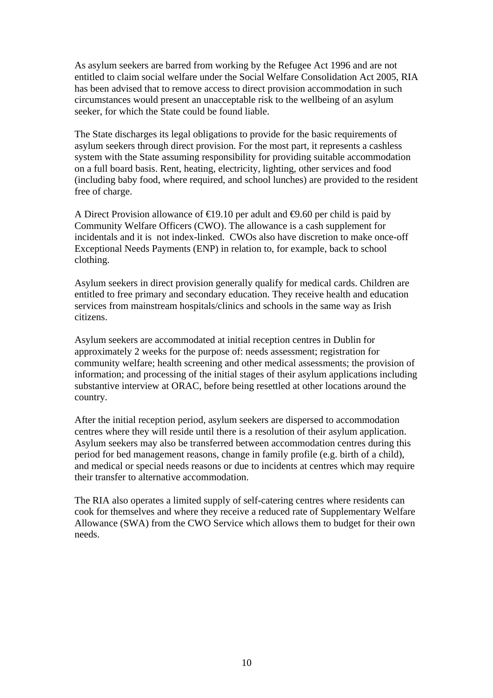As asylum seekers are barred from working by the Refugee Act 1996 and are not entitled to claim social welfare under the Social Welfare Consolidation Act 2005, RIA has been advised that to remove access to direct provision accommodation in such circumstances would present an unacceptable risk to the wellbeing of an asylum seeker, for which the State could be found liable.

The State discharges its legal obligations to provide for the basic requirements of asylum seekers through direct provision. For the most part, it represents a cashless system with the State assuming responsibility for providing suitable accommodation on a full board basis. Rent, heating, electricity, lighting, other services and food (including baby food, where required, and school lunches) are provided to the resident free of charge.

A Direct Provision allowance of  $\in$  9.10 per adult and  $\in$  9.60 per child is paid by Community Welfare Officers (CWO). The allowance is a cash supplement for incidentals and it is not index-linked. CWOs also have discretion to make once-off Exceptional Needs Payments (ENP) in relation to, for example, back to school clothing.

Asylum seekers in direct provision generally qualify for medical cards. Children are entitled to free primary and secondary education. They receive health and education services from mainstream hospitals/clinics and schools in the same way as Irish citizens.

Asylum seekers are accommodated at initial reception centres in Dublin for approximately 2 weeks for the purpose of: needs assessment; registration for community welfare; health screening and other medical assessments; the provision of information; and processing of the initial stages of their asylum applications including substantive interview at ORAC, before being resettled at other locations around the country.

After the initial reception period, asylum seekers are dispersed to accommodation centres where they will reside until there is a resolution of their asylum application. Asylum seekers may also be transferred between accommodation centres during this period for bed management reasons, change in family profile (e.g. birth of a child), and medical or special needs reasons or due to incidents at centres which may require their transfer to alternative accommodation.

The RIA also operates a limited supply of self-catering centres where residents can cook for themselves and where they receive a reduced rate of Supplementary Welfare Allowance (SWA) from the CWO Service which allows them to budget for their own needs.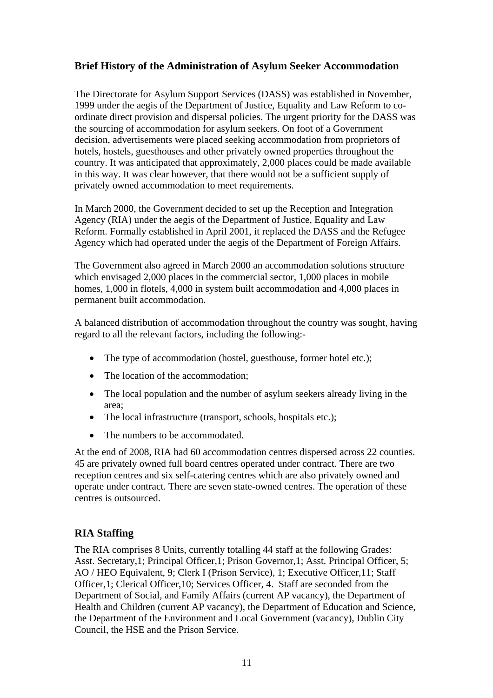### **Brief History of the Administration of Asylum Seeker Accommodation**

The Directorate for Asylum Support Services (DASS) was established in November, 1999 under the aegis of the Department of Justice, Equality and Law Reform to coordinate direct provision and dispersal policies. The urgent priority for the DASS was the sourcing of accommodation for asylum seekers. On foot of a Government decision, advertisements were placed seeking accommodation from proprietors of hotels, hostels, guesthouses and other privately owned properties throughout the country. It was anticipated that approximately, 2,000 places could be made available in this way. It was clear however, that there would not be a sufficient supply of privately owned accommodation to meet requirements.

In March 2000, the Government decided to set up the Reception and Integration Agency (RIA) under the aegis of the Department of Justice, Equality and Law Reform. Formally established in April 2001, it replaced the DASS and the Refugee Agency which had operated under the aegis of the Department of Foreign Affairs.

The Government also agreed in March 2000 an accommodation solutions structure which envisaged 2,000 places in the commercial sector, 1,000 places in mobile homes, 1,000 in flotels, 4,000 in system built accommodation and 4,000 places in permanent built accommodation.

A balanced distribution of accommodation throughout the country was sought, having regard to all the relevant factors, including the following:-

- The type of accommodation (hostel, guesthouse, former hotel etc.);
- The location of the accommodation;
- The local population and the number of asylum seekers already living in the area;
- The local infrastructure (transport, schools, hospitals etc.);
- The numbers to be accommodated.

At the end of 2008, RIA had 60 accommodation centres dispersed across 22 counties. 45 are privately owned full board centres operated under contract. There are two reception centres and six self-catering centres which are also privately owned and operate under contract. There are seven state-owned centres. The operation of these centres is outsourced.

### **RIA Staffing**

The RIA comprises 8 Units, currently totalling 44 staff at the following Grades: Asst. Secretary,1; Principal Officer,1; Prison Governor,1; Asst. Principal Officer, 5; AO / HEO Equivalent, 9; Clerk I (Prison Service), 1; Executive Officer,11; Staff Officer,1; Clerical Officer,10; Services Officer, 4. Staff are seconded from the Department of Social, and Family Affairs (current AP vacancy), the Department of Health and Children (current AP vacancy), the Department of Education and Science, the Department of the Environment and Local Government (vacancy), Dublin City Council, the HSE and the Prison Service.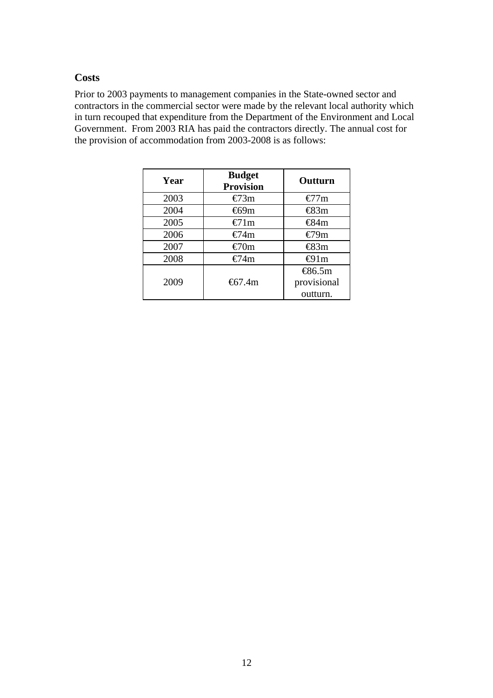### **Costs**

Prior to 2003 payments to management companies in the State-owned sector and contractors in the commercial sector were made by the relevant local authority which in turn recouped that expenditure from the Department of the Environment and Local Government. From 2003 RIA has paid the contractors directly. The annual cost for the provision of accommodation from 2003-2008 is as follows:

| Year | <b>Budget</b><br><b>Provision</b> | Outturn                    |
|------|-----------------------------------|----------------------------|
| 2003 | $\epsilon$ 73m                    | €7 $7m$                    |
| 2004 | $\bigoplus$ 9m                    | $\bigoplus$ 3m             |
| 2005 | $\bigoplus$ 1m                    | $\bigoplus$ 4m             |
| 2006 | €74m                              | €79m                       |
| 2007 | $\epsilon$ 70m                    | $\bigoplus$ 3m             |
| 2008 | €74m                              | $\bigoplus$ lm             |
|      |                                   | $\text{\textsterling}6.5m$ |
| 2009 | $\text{\&}7.4m$                   | provisional                |
|      |                                   | outturn.                   |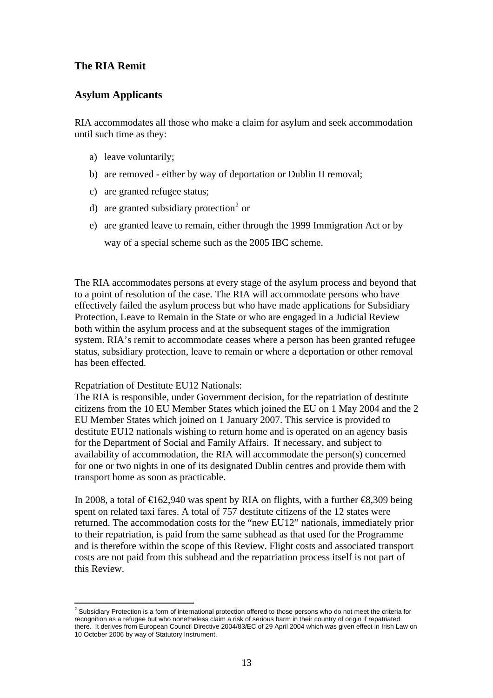### **The RIA Remit**

### **Asylum Applicants**

RIA accommodates all those who make a claim for asylum and seek accommodation until such time as they:

- a) leave voluntarily;
- b) are removed either by way of deportation or Dublin II removal;
- c) are granted refugee status;
- d) are granted subsidiary protection<sup>[2](#page-12-0)</sup> or
- e) are granted leave to remain, either through the 1999 Immigration Act or by way of a special scheme such as the 2005 IBC scheme.

The RIA accommodates persons at every stage of the asylum process and beyond that to a point of resolution of the case. The RIA will accommodate persons who have effectively failed the asylum process but who have made applications for Subsidiary Protection, Leave to Remain in the State or who are engaged in a Judicial Review both within the asylum process and at the subsequent stages of the immigration system. RIA's remit to accommodate ceases where a person has been granted refugee status, subsidiary protection, leave to remain or where a deportation or other removal has been effected.

#### Repatriation of Destitute EU12 Nationals:

The RIA is responsible, under Government decision, for the repatriation of destitute citizens from the 10 EU Member States which joined the EU on 1 May 2004 and the 2 EU Member States which joined on 1 January 2007. This service is provided to destitute EU12 nationals wishing to return home and is operated on an agency basis for the Department of Social and Family Affairs. If necessary, and subject to availability of accommodation, the RIA will accommodate the person(s) concerned for one or two nights in one of its designated Dublin centres and provide them with transport home as soon as practicable.

In 2008, a total of  $\text{€162,940}$  was spent by RIA on flights, with a further  $\text{€8,309}$  being spent on related taxi fares. A total of 757 destitute citizens of the 12 states were returned. The accommodation costs for the "new EU12" nationals, immediately prior to their repatriation, is paid from the same subhead as that used for the Programme and is therefore within the scope of this Review. Flight costs and associated transport costs are not paid from this subhead and the repatriation process itself is not part of this Review.

<span id="page-12-0"></span> $\frac{2}{3}$  Subsidiary Protection is a form of international protection offered to those persons who do not meet the criteria for recognition as a refugee but who nonetheless claim a risk of serious harm in their country of origin if repatriated there. It derives from European Council Directive 2004/83/EC of 29 April 2004 which was given effect in Irish Law on 10 October 2006 by way of Statutory Instrument.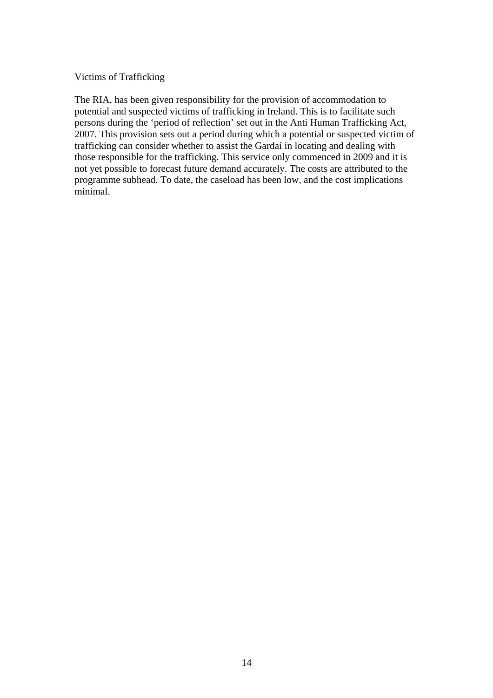#### Victims of Trafficking

The RIA, has been given responsibility for the provision of accommodation to potential and suspected victims of trafficking in Ireland. This is to facilitate such persons during the 'period of reflection' set out in the Anti Human Trafficking Act, 2007. This provision sets out a period during which a potential or suspected victim of trafficking can consider whether to assist the Gardaí in locating and dealing with those responsible for the trafficking. This service only commenced in 2009 and it is not yet possible to forecast future demand accurately. The costs are attributed to the programme subhead. To date, the caseload has been low, and the cost implications minimal.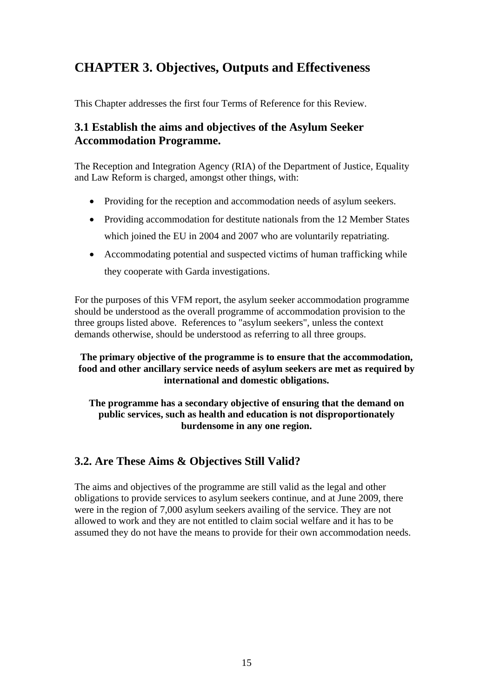# **CHAPTER 3. Objectives, Outputs and Effectiveness**

This Chapter addresses the first four Terms of Reference for this Review.

### **3.1 Establish the aims and objectives of the Asylum Seeker Accommodation Programme.**

The Reception and Integration Agency (RIA) of the Department of Justice, Equality and Law Reform is charged, amongst other things, with:

- Providing for the reception and accommodation needs of asylum seekers.
- Providing accommodation for destitute nationals from the 12 Member States which joined the EU in 2004 and 2007 who are voluntarily repatriating.
- Accommodating potential and suspected victims of human trafficking while they cooperate with Garda investigations.

For the purposes of this VFM report, the asylum seeker accommodation programme should be understood as the overall programme of accommodation provision to the three groups listed above. References to "asylum seekers", unless the context demands otherwise, should be understood as referring to all three groups.

### **The primary objective of the programme is to ensure that the accommodation, food and other ancillary service needs of asylum seekers are met as required by international and domestic obligations.**

**The programme has a secondary objective of ensuring that the demand on public services, such as health and education is not disproportionately burdensome in any one region.** 

### **3.2. Are These Aims & Objectives Still Valid?**

The aims and objectives of the programme are still valid as the legal and other obligations to provide services to asylum seekers continue, and at June 2009, there were in the region of 7,000 asylum seekers availing of the service. They are not allowed to work and they are not entitled to claim social welfare and it has to be assumed they do not have the means to provide for their own accommodation needs.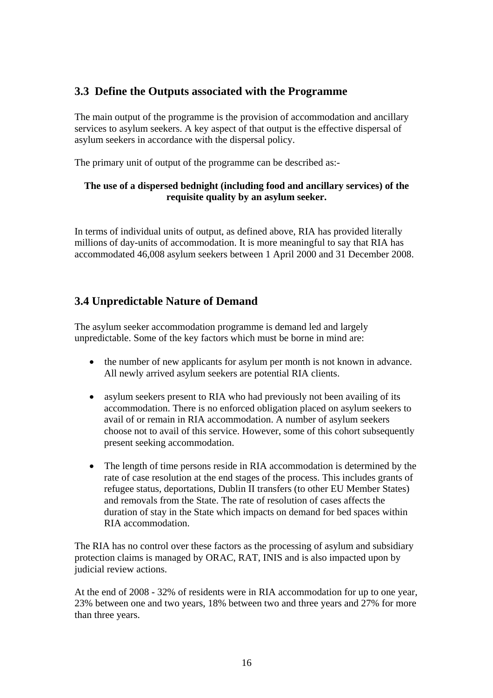### **3.3 Define the Outputs associated with the Programme**

The main output of the programme is the provision of accommodation and ancillary services to asylum seekers. A key aspect of that output is the effective dispersal of asylum seekers in accordance with the dispersal policy.

The primary unit of output of the programme can be described as:-

### **The use of a dispersed bednight (including food and ancillary services) of the requisite quality by an asylum seeker.**

In terms of individual units of output, as defined above, RIA has provided literally millions of day-units of accommodation. It is more meaningful to say that RIA has accommodated 46,008 asylum seekers between 1 April 2000 and 31 December 2008.

### **3.4 Unpredictable Nature of Demand**

The asylum seeker accommodation programme is demand led and largely unpredictable. Some of the key factors which must be borne in mind are:

- the number of new applicants for asylum per month is not known in advance. All newly arrived asylum seekers are potential RIA clients.
- asylum seekers present to RIA who had previously not been availing of its accommodation. There is no enforced obligation placed on asylum seekers to avail of or remain in RIA accommodation. A number of asylum seekers choose not to avail of this service. However, some of this cohort subsequently present seeking accommodation.
- The length of time persons reside in RIA accommodation is determined by the rate of case resolution at the end stages of the process. This includes grants of refugee status, deportations, Dublin II transfers (to other EU Member States) and removals from the State. The rate of resolution of cases affects the duration of stay in the State which impacts on demand for bed spaces within RIA accommodation.

The RIA has no control over these factors as the processing of asylum and subsidiary protection claims is managed by ORAC, RAT, INIS and is also impacted upon by judicial review actions.

At the end of 2008 - 32% of residents were in RIA accommodation for up to one year, 23% between one and two years, 18% between two and three years and 27% for more than three years.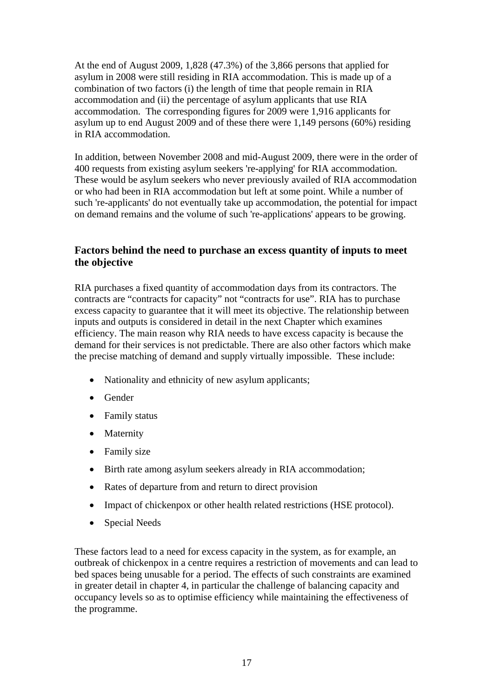At the end of August 2009, 1,828 (47.3%) of the 3,866 persons that applied for asylum in 2008 were still residing in RIA accommodation. This is made up of a combination of two factors (i) the length of time that people remain in RIA accommodation and (ii) the percentage of asylum applicants that use RIA accommodation. The corresponding figures for 2009 were 1,916 applicants for asylum up to end August 2009 and of these there were 1,149 persons (60%) residing in RIA accommodation.

In addition, between November 2008 and mid-August 2009, there were in the order of 400 requests from existing asylum seekers 're-applying' for RIA accommodation. These would be asylum seekers who never previously availed of RIA accommodation or who had been in RIA accommodation but left at some point. While a number of such 're-applicants' do not eventually take up accommodation, the potential for impact on demand remains and the volume of such 're-applications' appears to be growing.

### **Factors behind the need to purchase an excess quantity of inputs to meet the objective**

RIA purchases a fixed quantity of accommodation days from its contractors. The contracts are "contracts for capacity" not "contracts for use". RIA has to purchase excess capacity to guarantee that it will meet its objective. The relationship between inputs and outputs is considered in detail in the next Chapter which examines efficiency. The main reason why RIA needs to have excess capacity is because the demand for their services is not predictable. There are also other factors which make the precise matching of demand and supply virtually impossible. These include:

- Nationality and ethnicity of new asylum applicants;
- Gender
- Family status
- Maternity
- Family size
- Birth rate among asylum seekers already in RIA accommodation:
- Rates of departure from and return to direct provision
- Impact of chickenpox or other health related restrictions (HSE protocol).
- Special Needs

These factors lead to a need for excess capacity in the system, as for example, an outbreak of chickenpox in a centre requires a restriction of movements and can lead to bed spaces being unusable for a period. The effects of such constraints are examined in greater detail in chapter 4, in particular the challenge of balancing capacity and occupancy levels so as to optimise efficiency while maintaining the effectiveness of the programme.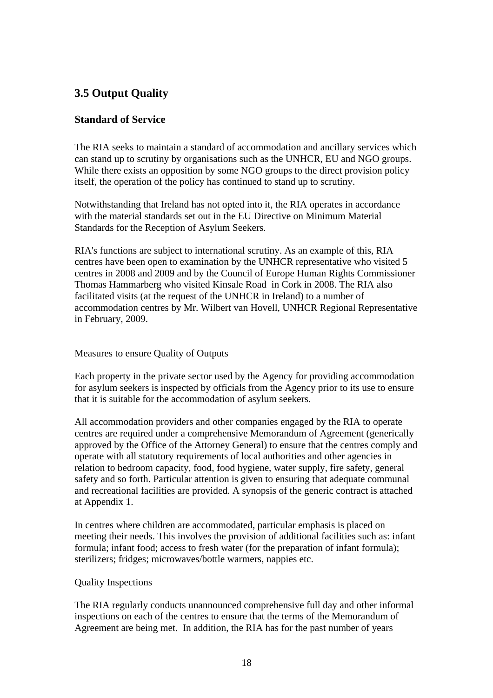## **3.5 Output Quality**

### **Standard of Service**

The RIA seeks to maintain a standard of accommodation and ancillary services which can stand up to scrutiny by organisations such as the UNHCR, EU and NGO groups. While there exists an opposition by some NGO groups to the direct provision policy itself, the operation of the policy has continued to stand up to scrutiny.

Notwithstanding that Ireland has not opted into it, the RIA operates in accordance with the material standards set out in the EU Directive on Minimum Material Standards for the Reception of Asylum Seekers.

RIA's functions are subject to international scrutiny. As an example of this, RIA centres have been open to examination by the UNHCR representative who visited 5 centres in 2008 and 2009 and by the Council of Europe Human Rights Commissioner Thomas Hammarberg who visited Kinsale Road in Cork in 2008. The RIA also facilitated visits (at the request of the UNHCR in Ireland) to a number of accommodation centres by Mr. Wilbert van Hovell, UNHCR Regional Representative in February, 2009.

Measures to ensure Quality of Outputs

Each property in the private sector used by the Agency for providing accommodation for asylum seekers is inspected by officials from the Agency prior to its use to ensure that it is suitable for the accommodation of asylum seekers.

All accommodation providers and other companies engaged by the RIA to operate centres are required under a comprehensive Memorandum of Agreement (generically approved by the Office of the Attorney General) to ensure that the centres comply and operate with all statutory requirements of local authorities and other agencies in relation to bedroom capacity, food, food hygiene, water supply, fire safety, general safety and so forth. Particular attention is given to ensuring that adequate communal and recreational facilities are provided. A synopsis of the generic contract is attached at Appendix 1.

In centres where children are accommodated, particular emphasis is placed on meeting their needs. This involves the provision of additional facilities such as: infant formula; infant food; access to fresh water (for the preparation of infant formula); sterilizers; fridges; microwaves/bottle warmers, nappies etc.

#### Quality Inspections

The RIA regularly conducts unannounced comprehensive full day and other informal inspections on each of the centres to ensure that the terms of the Memorandum of Agreement are being met. In addition, the RIA has for the past number of years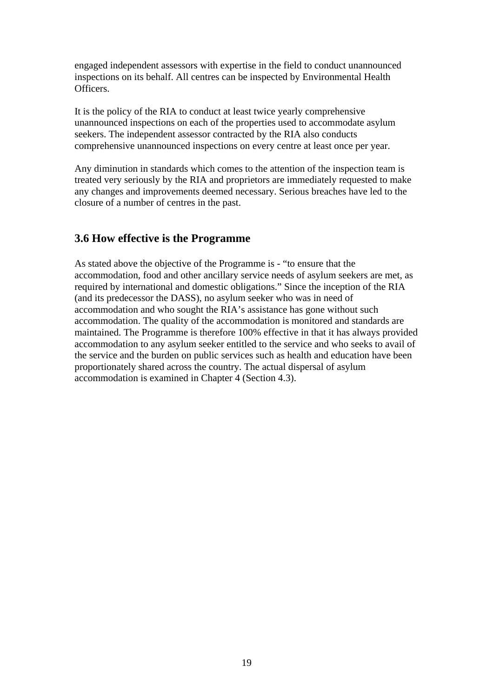engaged independent assessors with expertise in the field to conduct unannounced inspections on its behalf. All centres can be inspected by Environmental Health Officers.

It is the policy of the RIA to conduct at least twice yearly comprehensive unannounced inspections on each of the properties used to accommodate asylum seekers. The independent assessor contracted by the RIA also conducts comprehensive unannounced inspections on every centre at least once per year.

Any diminution in standards which comes to the attention of the inspection team is treated very seriously by the RIA and proprietors are immediately requested to make any changes and improvements deemed necessary. Serious breaches have led to the closure of a number of centres in the past.

### **3.6 How effective is the Programme**

As stated above the objective of the Programme is - "to ensure that the accommodation, food and other ancillary service needs of asylum seekers are met, as required by international and domestic obligations." Since the inception of the RIA (and its predecessor the DASS), no asylum seeker who was in need of accommodation and who sought the RIA's assistance has gone without such accommodation. The quality of the accommodation is monitored and standards are maintained. The Programme is therefore 100% effective in that it has always provided accommodation to any asylum seeker entitled to the service and who seeks to avail of the service and the burden on public services such as health and education have been proportionately shared across the country. The actual dispersal of asylum accommodation is examined in Chapter 4 (Section 4.3).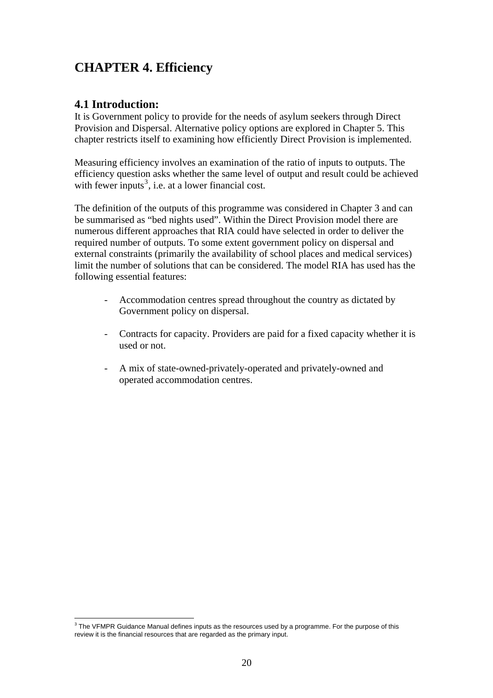# **CHAPTER 4. Efficiency**

### **4.1 Introduction:**

It is Government policy to provide for the needs of asylum seekers through Direct Provision and Dispersal. Alternative policy options are explored in Chapter 5. This chapter restricts itself to examining how efficiently Direct Provision is implemented.

Measuring efficiency involves an examination of the ratio of inputs to outputs. The efficiency question asks whether the same level of output and result could be achieved with fewer inputs<sup>[3](#page-19-0)</sup>, i.e. at a lower financial cost.

The definition of the outputs of this programme was considered in Chapter 3 and can be summarised as "bed nights used". Within the Direct Provision model there are numerous different approaches that RIA could have selected in order to deliver the required number of outputs. To some extent government policy on dispersal and external constraints (primarily the availability of school places and medical services) limit the number of solutions that can be considered. The model RIA has used has the following essential features:

- Accommodation centres spread throughout the country as dictated by Government policy on dispersal.
- Contracts for capacity. Providers are paid for a fixed capacity whether it is used or not.
- A mix of state-owned-privately-operated and privately-owned and operated accommodation centres.

<span id="page-19-0"></span> $^3$  The VFMPR Guidance Manual defines inputs as the resources used by a programme. For the purpose of this  $\overline{\phantom{a}}$ review it is the financial resources that are regarded as the primary input.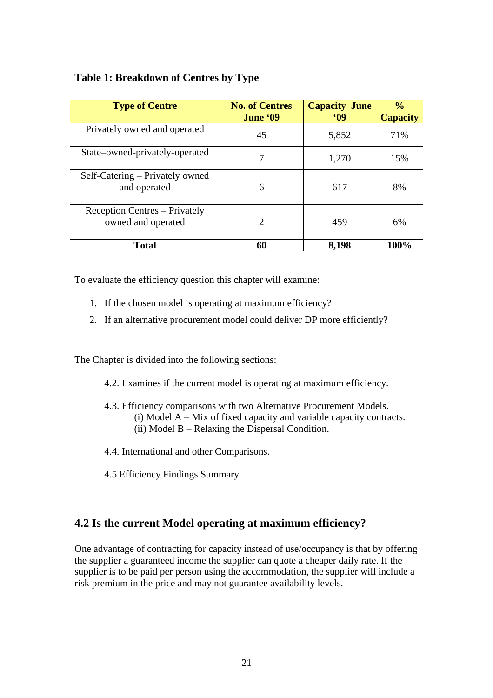### **Table 1: Breakdown of Centres by Type**

| <b>Type of Centre</b>                               | <b>No. of Centres</b><br>June '09 | <b>Capacity June</b><br><b>MO</b> | $\frac{0}{0}$<br><b>Capacity</b> |
|-----------------------------------------------------|-----------------------------------|-----------------------------------|----------------------------------|
| Privately owned and operated                        | 45                                | 5,852                             | 71%                              |
| State-owned-privately-operated                      | 7                                 | 1,270                             | 15%                              |
| Self-Catering – Privately owned<br>and operated     | 6                                 | 617                               | 8%                               |
| Reception Centres – Privately<br>owned and operated | 2                                 | 459                               | 6%                               |
| Total                                               | 60                                | 8,198                             | 100%                             |

To evaluate the efficiency question this chapter will examine:

- 1. If the chosen model is operating at maximum efficiency?
- 2. If an alternative procurement model could deliver DP more efficiently?

The Chapter is divided into the following sections:

- 4.2. Examines if the current model is operating at maximum efficiency.
- 4.3. Efficiency comparisons with two Alternative Procurement Models. (i) Model A – Mix of fixed capacity and variable capacity contracts. (ii) Model B – Relaxing the Dispersal Condition.
- 4.4. International and other Comparisons.
- 4.5 Efficiency Findings Summary.

### **4.2 Is the current Model operating at maximum efficiency?**

One advantage of contracting for capacity instead of use/occupancy is that by offering the supplier a guaranteed income the supplier can quote a cheaper daily rate. If the supplier is to be paid per person using the accommodation, the supplier will include a risk premium in the price and may not guarantee availability levels.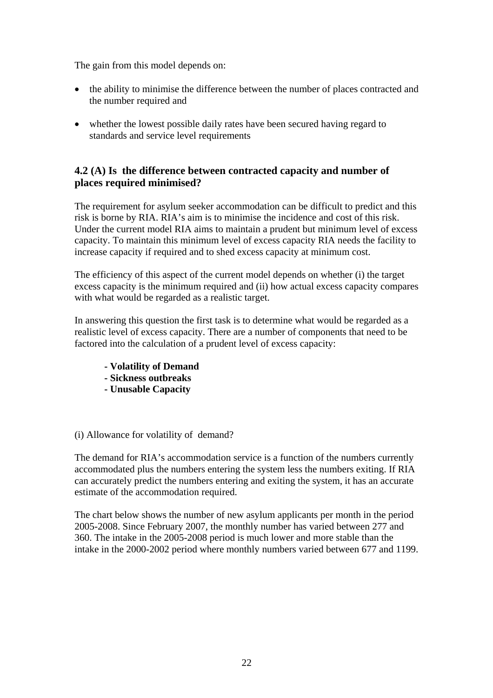The gain from this model depends on:

- the ability to minimise the difference between the number of places contracted and the number required and
- whether the lowest possible daily rates have been secured having regard to standards and service level requirements

### **4.2 (A) Is the difference between contracted capacity and number of places required minimised?**

The requirement for asylum seeker accommodation can be difficult to predict and this risk is borne by RIA. RIA's aim is to minimise the incidence and cost of this risk. Under the current model RIA aims to maintain a prudent but minimum level of excess capacity. To maintain this minimum level of excess capacity RIA needs the facility to increase capacity if required and to shed excess capacity at minimum cost.

The efficiency of this aspect of the current model depends on whether (i) the target excess capacity is the minimum required and (ii) how actual excess capacity compares with what would be regarded as a realistic target.

In answering this question the first task is to determine what would be regarded as a realistic level of excess capacity. There are a number of components that need to be factored into the calculation of a prudent level of excess capacity:

- **Volatility of Demand**
- **Sickness outbreaks**
- **Unusable Capacity**

#### (i) Allowance for volatility of demand?

The demand for RIA's accommodation service is a function of the numbers currently accommodated plus the numbers entering the system less the numbers exiting. If RIA can accurately predict the numbers entering and exiting the system, it has an accurate estimate of the accommodation required.

The chart below shows the number of new asylum applicants per month in the period 2005-2008. Since February 2007, the monthly number has varied between 277 and 360. The intake in the 2005-2008 period is much lower and more stable than the intake in the 2000-2002 period where monthly numbers varied between 677 and 1199.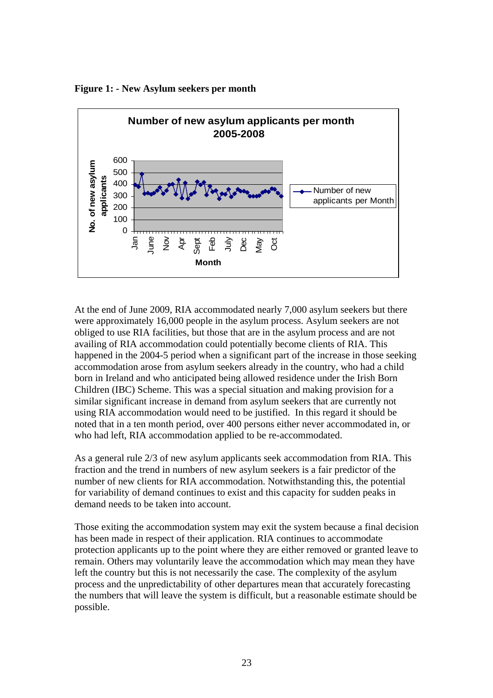

**Figure 1: - New Asylum seekers per month** 

At the end of June 2009, RIA accommodated nearly 7,000 asylum seekers but there were approximately 16,000 people in the asylum process. Asylum seekers are not obliged to use RIA facilities, but those that are in the asylum process and are not availing of RIA accommodation could potentially become clients of RIA. This happened in the 2004-5 period when a significant part of the increase in those seeking accommodation arose from asylum seekers already in the country, who had a child born in Ireland and who anticipated being allowed residence under the Irish Born Children (IBC) Scheme. This was a special situation and making provision for a similar significant increase in demand from asylum seekers that are currently not using RIA accommodation would need to be justified. In this regard it should be noted that in a ten month period, over 400 persons either never accommodated in, or who had left, RIA accommodation applied to be re-accommodated.

As a general rule 2/3 of new asylum applicants seek accommodation from RIA. This fraction and the trend in numbers of new asylum seekers is a fair predictor of the number of new clients for RIA accommodation. Notwithstanding this, the potential for variability of demand continues to exist and this capacity for sudden peaks in demand needs to be taken into account.

Those exiting the accommodation system may exit the system because a final decision has been made in respect of their application. RIA continues to accommodate protection applicants up to the point where they are either removed or granted leave to remain. Others may voluntarily leave the accommodation which may mean they have left the country but this is not necessarily the case. The complexity of the asylum process and the unpredictability of other departures mean that accurately forecasting the numbers that will leave the system is difficult, but a reasonable estimate should be possible.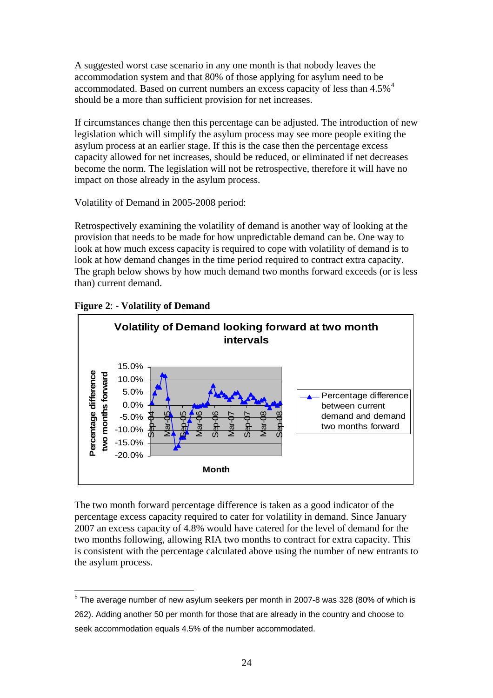A suggested worst case scenario in any one month is that nobody leaves the accommodation system and that 80% of those applying for asylum need to be accommodated. Based on current numbers an excess capacity of less than [4](#page-23-0).5%<sup>4</sup> should be a more than sufficient provision for net increases.

If circumstances change then this percentage can be adjusted. The introduction of new legislation which will simplify the asylum process may see more people exiting the asylum process at an earlier stage. If this is the case then the percentage excess capacity allowed for net increases, should be reduced, or eliminated if net decreases become the norm. The legislation will not be retrospective, therefore it will have no impact on those already in the asylum process.

Volatility of Demand in 2005-2008 period:

Retrospectively examining the volatility of demand is another way of looking at the provision that needs to be made for how unpredictable demand can be. One way to look at how much excess capacity is required to cope with volatility of demand is to look at how demand changes in the time period required to contract extra capacity. The graph below shows by how much demand two months forward exceeds (or is less than) current demand.



**Figure 2**: - **Volatility of Demand**

The two month forward percentage difference is taken as a good indicator of the percentage excess capacity required to cater for volatility in demand. Since January 2007 an excess capacity of 4.8% would have catered for the level of demand for the two months following, allowing RIA two months to contract for extra capacity. This is consistent with the percentage calculated above using the number of new entrants to the asylum process.

<span id="page-23-0"></span> 5 The average number of new asylum seekers per month in 2007-8 was 328 (80% of which is 262). Adding another 50 per month for those that are already in the country and choose to seek accommodation equals 4.5% of the number accommodated.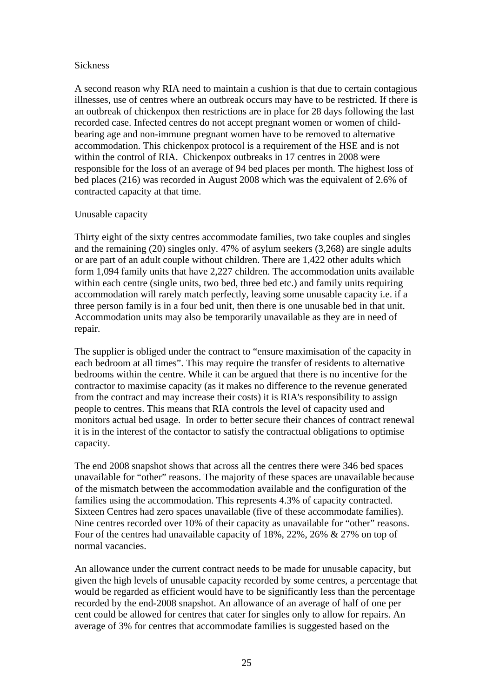#### Sickness

A second reason why RIA need to maintain a cushion is that due to certain contagious illnesses, use of centres where an outbreak occurs may have to be restricted. If there is an outbreak of chickenpox then restrictions are in place for 28 days following the last recorded case. Infected centres do not accept pregnant women or women of childbearing age and non-immune pregnant women have to be removed to alternative accommodation. This chickenpox protocol is a requirement of the HSE and is not within the control of RIA. Chickenpox outbreaks in 17 centres in 2008 were responsible for the loss of an average of 94 bed places per month. The highest loss of bed places (216) was recorded in August 2008 which was the equivalent of 2.6% of contracted capacity at that time.

#### Unusable capacity

Thirty eight of the sixty centres accommodate families, two take couples and singles and the remaining (20) singles only. 47% of asylum seekers (3,268) are single adults or are part of an adult couple without children. There are 1,422 other adults which form 1,094 family units that have 2,227 children. The accommodation units available within each centre (single units, two bed, three bed etc.) and family units requiring accommodation will rarely match perfectly, leaving some unusable capacity i.e. if a three person family is in a four bed unit, then there is one unusable bed in that unit. Accommodation units may also be temporarily unavailable as they are in need of repair.

The supplier is obliged under the contract to "ensure maximisation of the capacity in each bedroom at all times". This may require the transfer of residents to alternative bedrooms within the centre. While it can be argued that there is no incentive for the contractor to maximise capacity (as it makes no difference to the revenue generated from the contract and may increase their costs) it is RIA's responsibility to assign people to centres. This means that RIA controls the level of capacity used and monitors actual bed usage. In order to better secure their chances of contract renewal it is in the interest of the contactor to satisfy the contractual obligations to optimise capacity.

The end 2008 snapshot shows that across all the centres there were 346 bed spaces unavailable for "other" reasons. The majority of these spaces are unavailable because of the mismatch between the accommodation available and the configuration of the families using the accommodation. This represents 4.3% of capacity contracted. Sixteen Centres had zero spaces unavailable (five of these accommodate families). Nine centres recorded over 10% of their capacity as unavailable for "other" reasons. Four of the centres had unavailable capacity of 18%, 22%, 26% & 27% on top of normal vacancies.

An allowance under the current contract needs to be made for unusable capacity, but given the high levels of unusable capacity recorded by some centres, a percentage that would be regarded as efficient would have to be significantly less than the percentage recorded by the end-2008 snapshot. An allowance of an average of half of one per cent could be allowed for centres that cater for singles only to allow for repairs. An average of 3% for centres that accommodate families is suggested based on the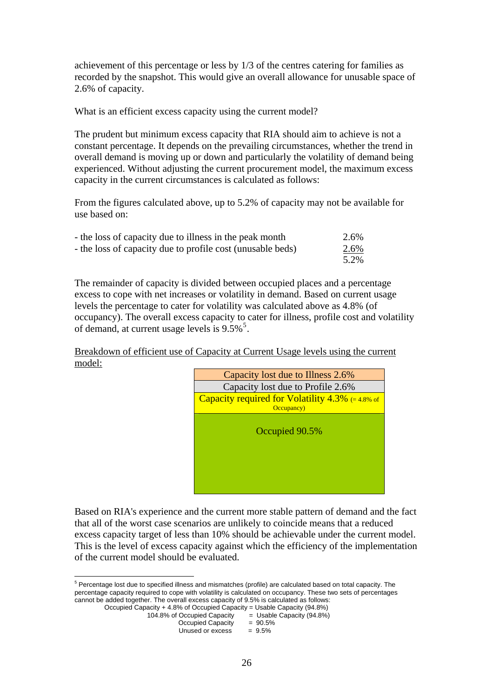achievement of this percentage or less by 1/3 of the centres catering for families as recorded by the snapshot. This would give an overall allowance for unusable space of 2.6% of capacity.

What is an efficient excess capacity using the current model?

The prudent but minimum excess capacity that RIA should aim to achieve is not a constant percentage. It depends on the prevailing circumstances, whether the trend in overall demand is moving up or down and particularly the volatility of demand being experienced. Without adjusting the current procurement model, the maximum excess capacity in the current circumstances is calculated as follows:

From the figures calculated above, up to 5.2% of capacity may not be available for use based on:

| - the loss of capacity due to illness in the peak month    | 2.6% |
|------------------------------------------------------------|------|
| - the loss of capacity due to profile cost (unusable beds) | 2.6% |
|                                                            | 5.2% |

The remainder of capacity is divided between occupied places and a percentage excess to cope with net increases or volatility in demand. Based on current usage levels the percentage to cater for volatility was calculated above as 4.8% (of occupancy). The overall excess capacity to cater for illness, profile cost and volatility of demand, at current usage levels is  $9.5\%$  $9.5\%$  $9.5\%$ <sup>5</sup>.

Breakdown of efficient use of Capacity at Current Usage levels using the current model:



Based on RIA's experience and the current more stable pattern of demand and the fact that all of the worst case scenarios are unlikely to coincide means that a reduced excess capacity target of less than 10% should be achievable under the current model. This is the level of excess capacity against which the efficiency of the implementation of the current model should be evaluated.

<span id="page-25-0"></span> 5 Percentage lost due to specified illness and mismatches (profile) are calculated based on total capacity. The percentage capacity required to cope with volatility is calculated on occupancy. These two sets of percentages cannot be added together. The overall excess capacity of 9.5% is calculated as follows:

Occupied Capacity + 4.8% of Occupied Capacity = Usable Capacity (94.8%)

| 104.8% of Occupied Capacity | $=$ Usable Capacity (94.8%) |
|-----------------------------|-----------------------------|
| Occupied Capacity           | $= 90.5\%$                  |
| Unused or excess            | $= 9.5\%$                   |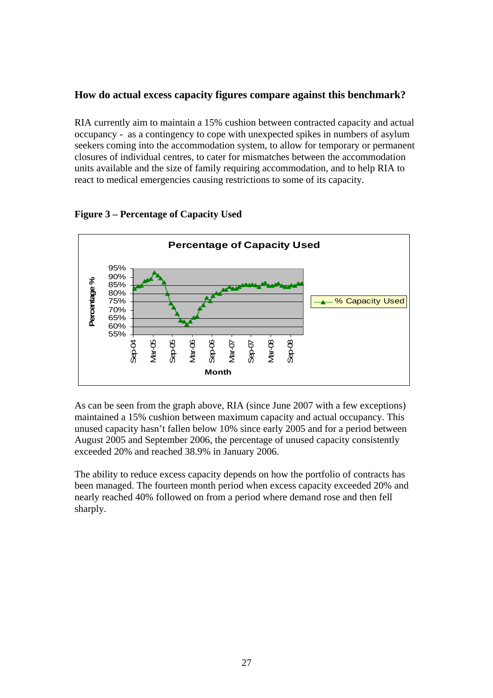### **How do actual excess capacity figures compare against this benchmark?**

RIA currently aim to maintain a 15% cushion between contracted capacity and actual occupancy - as a contingency to cope with unexpected spikes in numbers of asylum seekers coming into the accommodation system, to allow for temporary or permanent closures of individual centres, to cater for mismatches between the accommodation units available and the size of family requiring accommodation, and to help RIA to react to medical emergencies causing restrictions to some of its capacity.



#### **Figure 3 – Percentage of Capacity Used**

As can be seen from the graph above, RIA (since June 2007 with a few exceptions) maintained a 15% cushion between maximum capacity and actual occupancy. This unused capacity hasn't fallen below 10% since early 2005 and for a period between August 2005 and September 2006, the percentage of unused capacity consistently exceeded 20% and reached 38.9% in January 2006.

The ability to reduce excess capacity depends on how the portfolio of contracts has been managed. The fourteen month period when excess capacity exceeded 20% and nearly reached 40% followed on from a period where demand rose and then fell sharply.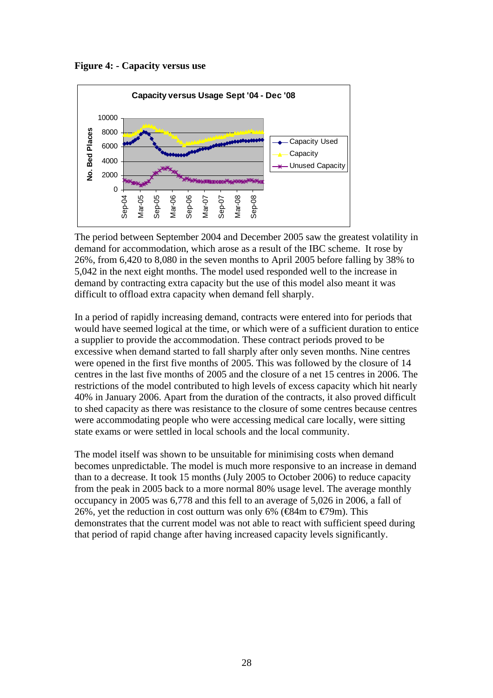**Figure 4: - Capacity versus use** 



The period between September 2004 and December 2005 saw the greatest volatility in demand for accommodation, which arose as a result of the IBC scheme. It rose by 26%, from 6,420 to 8,080 in the seven months to April 2005 before falling by 38% to 5,042 in the next eight months. The model used responded well to the increase in demand by contracting extra capacity but the use of this model also meant it was difficult to offload extra capacity when demand fell sharply.

In a period of rapidly increasing demand, contracts were entered into for periods that would have seemed logical at the time, or which were of a sufficient duration to entice a supplier to provide the accommodation. These contract periods proved to be excessive when demand started to fall sharply after only seven months. Nine centres were opened in the first five months of 2005. This was followed by the closure of 14 centres in the last five months of 2005 and the closure of a net 15 centres in 2006. The restrictions of the model contributed to high levels of excess capacity which hit nearly 40% in January 2006. Apart from the duration of the contracts, it also proved difficult to shed capacity as there was resistance to the closure of some centres because centres were accommodating people who were accessing medical care locally, were sitting state exams or were settled in local schools and the local community.

The model itself was shown to be unsuitable for minimising costs when demand becomes unpredictable. The model is much more responsive to an increase in demand than to a decrease. It took 15 months (July 2005 to October 2006) to reduce capacity from the peak in 2005 back to a more normal 80% usage level. The average monthly occupancy in 2005 was 6,778 and this fell to an average of 5,026 in 2006, a fall of 26%, yet the reduction in cost outturn was only 6% ( $\bigoplus$ 4m to  $\bigoplus$ 9m). This demonstrates that the current model was not able to react with sufficient speed during that period of rapid change after having increased capacity levels significantly.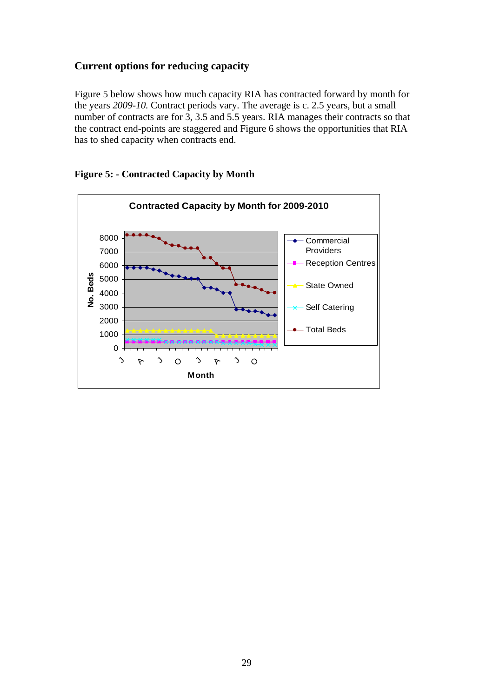### **Current options for reducing capacity**

Figure 5 below shows how much capacity RIA has contracted forward by month for the years *2009-10.* Contract periods vary. The average is c. 2.5 years, but a small number of contracts are for 3, 3.5 and 5.5 years. RIA manages their contracts so that the contract end-points are staggered and Figure 6 shows the opportunities that RIA has to shed capacity when contracts end.



**Figure 5: - Contracted Capacity by Month**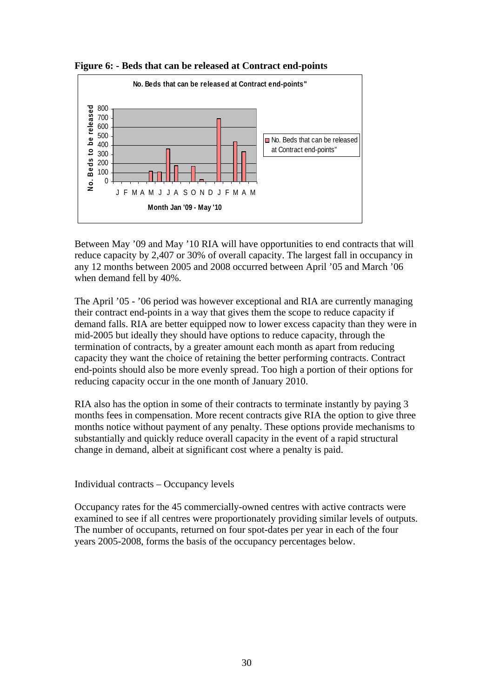



Between May '09 and May '10 RIA will have opportunities to end contracts that will reduce capacity by 2,407 or 30% of overall capacity. The largest fall in occupancy in any 12 months between 2005 and 2008 occurred between April '05 and March '06 when demand fell by 40%.

The April '05 - '06 period was however exceptional and RIA are currently managing their contract end-points in a way that gives them the scope to reduce capacity if demand falls. RIA are better equipped now to lower excess capacity than they were in mid-2005 but ideally they should have options to reduce capacity, through the termination of contracts, by a greater amount each month as apart from reducing capacity they want the choice of retaining the better performing contracts. Contract end-points should also be more evenly spread. Too high a portion of their options for reducing capacity occur in the one month of January 2010.

RIA also has the option in some of their contracts to terminate instantly by paying 3 months fees in compensation. More recent contracts give RIA the option to give three months notice without payment of any penalty. These options provide mechanisms to substantially and quickly reduce overall capacity in the event of a rapid structural change in demand, albeit at significant cost where a penalty is paid.

Individual contracts – Occupancy levels

Occupancy rates for the 45 commercially-owned centres with active contracts were examined to see if all centres were proportionately providing similar levels of outputs. The number of occupants, returned on four spot-dates per year in each of the four years 2005-2008, forms the basis of the occupancy percentages below.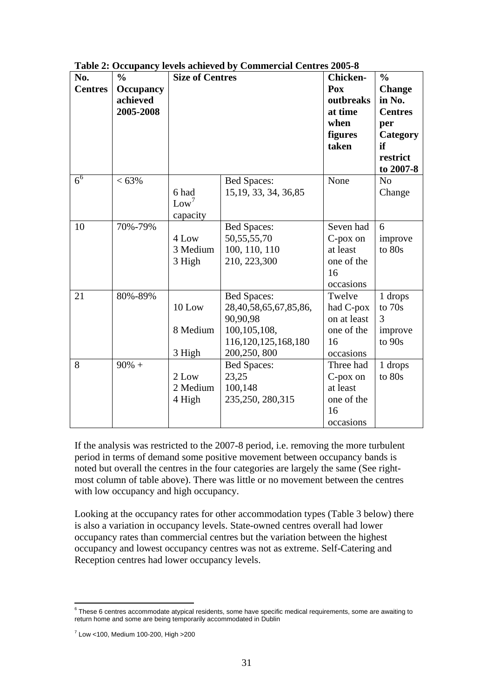| No.<br><b>Centres</b> | $\frac{0}{0}$<br><b>Occupancy</b><br>achieved<br>2005-2008 | <b>Size of Centres</b>                |                                                                                                                     | <b>Chicken-</b><br>Pox<br>outbreaks<br>at time<br>when<br>figures<br>taken | $\frac{0}{0}$<br><b>Change</b><br>in No.<br><b>Centres</b><br>per<br>Category<br>if<br>restrict<br>to 2007-8 |
|-----------------------|------------------------------------------------------------|---------------------------------------|---------------------------------------------------------------------------------------------------------------------|----------------------------------------------------------------------------|--------------------------------------------------------------------------------------------------------------|
| 6 <sup>6</sup>        | $<63\%$                                                    | 6 had<br>Low <sup>7</sup><br>capacity | <b>Bed Spaces:</b><br>15, 19, 33, 34, 36, 85                                                                        | None                                                                       | N <sub>o</sub><br>Change                                                                                     |
| 10                    | 70%-79%                                                    | 4 Low<br>3 Medium<br>3 High           | <b>Bed Spaces:</b><br>50, 55, 55, 70<br>100, 110, 110<br>210, 223,300                                               | Seven had<br>C-pox on<br>at least<br>one of the<br>16<br>occasions         | 6<br>improve<br>to 80s                                                                                       |
| 21                    | 80%-89%                                                    | 10 Low<br>8 Medium<br>3 High          | <b>Bed Spaces:</b><br>28,40,58,65,67,85,86,<br>90,90,98<br>100, 105, 108,<br>116, 120, 125, 168, 180<br>200,250,800 | Twelve<br>had C-pox<br>on at least<br>one of the<br>16<br>occasions        | 1 drops<br>to 70s<br>3<br>improve<br>to $90s$                                                                |
| 8                     | $90\% +$                                                   | 2 Low<br>2 Medium<br>4 High           | <b>Bed Spaces:</b><br>23,25<br>100,148<br>235, 250, 280, 315                                                        | Three had<br>C-pox on<br>at least<br>one of the<br>16<br>occasions         | 1 drops<br>to 80s                                                                                            |

**Table 2: Occupancy levels achieved by Commercial Centres 2005-8** 

If the analysis was restricted to the 2007-8 period, i.e. removing the more turbulent period in terms of demand some positive movement between occupancy bands is noted but overall the centres in the four categories are largely the same (See rightmost column of table above). There was little or no movement between the centres with low occupancy and high occupancy.

Looking at the occupancy rates for other accommodation types (Table 3 below) there is also a variation in occupancy levels. State-owned centres overall had lower occupancy rates than commercial centres but the variation between the highest occupancy and lowest occupancy centres was not as extreme. Self-Catering and Reception centres had lower occupancy levels.

<span id="page-30-0"></span> 6 These 6 centres accommodate atypical residents, some have specific medical requirements, some are awaiting to return home and some are being temporarily accommodated in Dublin

<span id="page-30-1"></span><sup>7</sup> Low <100, Medium 100-200, High >200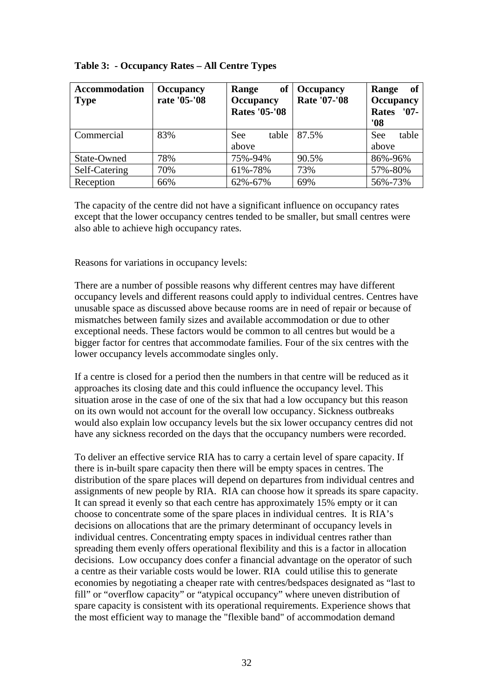| <b>Accommodation</b><br><b>Type</b> | <b>Occupancy</b><br>rate '05-'08 | of<br>Range<br><b>Occupancy</b><br><b>Rates '05-'08</b> | <b>Occupancy</b><br><b>Rate '07-'08</b> | of<br>Range<br><b>Occupancy</b><br><b>Rates</b><br>$'07-$<br>'08 |
|-------------------------------------|----------------------------------|---------------------------------------------------------|-----------------------------------------|------------------------------------------------------------------|
| Commercial                          | 83%                              | table<br><b>See</b><br>above                            | 87.5%                                   | table<br><b>See</b><br>above                                     |
| State-Owned                         | 78%                              | 75%-94%                                                 | 90.5%                                   | 86%-96%                                                          |
| Self-Catering                       | 70%                              | 61%-78%                                                 | 73%                                     | 57%-80%                                                          |
| Reception                           | 66%                              | 62%-67%                                                 | 69%                                     | 56%-73%                                                          |

### **Table 3: - Occupancy Rates – All Centre Types**

The capacity of the centre did not have a significant influence on occupancy rates except that the lower occupancy centres tended to be smaller, but small centres were also able to achieve high occupancy rates.

Reasons for variations in occupancy levels:

There are a number of possible reasons why different centres may have different occupancy levels and different reasons could apply to individual centres. Centres have unusable space as discussed above because rooms are in need of repair or because of mismatches between family sizes and available accommodation or due to other exceptional needs. These factors would be common to all centres but would be a bigger factor for centres that accommodate families. Four of the six centres with the lower occupancy levels accommodate singles only.

If a centre is closed for a period then the numbers in that centre will be reduced as it approaches its closing date and this could influence the occupancy level. This situation arose in the case of one of the six that had a low occupancy but this reason on its own would not account for the overall low occupancy. Sickness outbreaks would also explain low occupancy levels but the six lower occupancy centres did not have any sickness recorded on the days that the occupancy numbers were recorded.

To deliver an effective service RIA has to carry a certain level of spare capacity. If there is in-built spare capacity then there will be empty spaces in centres. The distribution of the spare places will depend on departures from individual centres and assignments of new people by RIA. RIA can choose how it spreads its spare capacity. It can spread it evenly so that each centre has approximately 15% empty or it can choose to concentrate some of the spare places in individual centres. It is RIA's decisions on allocations that are the primary determinant of occupancy levels in individual centres. Concentrating empty spaces in individual centres rather than spreading them evenly offers operational flexibility and this is a factor in allocation decisions. Low occupancy does confer a financial advantage on the operator of such a centre as their variable costs would be lower. RIA could utilise this to generate economies by negotiating a cheaper rate with centres/bedspaces designated as "last to fill" or "overflow capacity" or "atypical occupancy" where uneven distribution of spare capacity is consistent with its operational requirements. Experience shows that the most efficient way to manage the "flexible band" of accommodation demand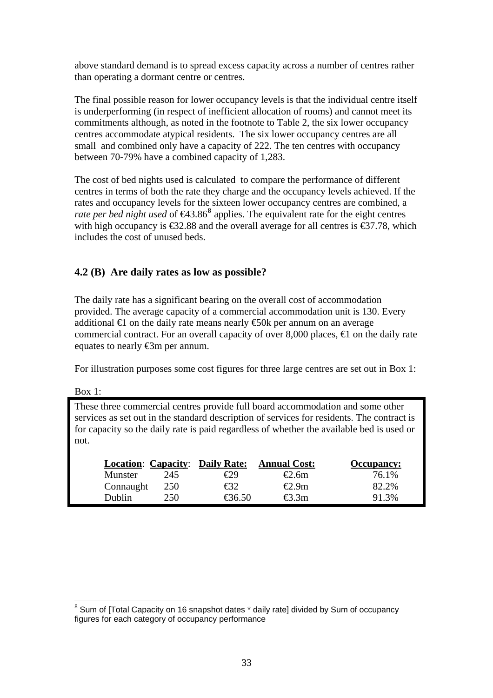above standard demand is to spread excess capacity across a number of centres rather than operating a dormant centre or centres.

The final possible reason for lower occupancy levels is that the individual centre itself is underperforming (in respect of inefficient allocation of rooms) and cannot meet its commitments although, as noted in the footnote to Table 2, the six lower occupancy centres accommodate atypical residents. The six lower occupancy centres are all small and combined only have a capacity of 222. The ten centres with occupancy between 70-79% have a combined capacity of 1,283.

The cost of bed nights used is calculated to compare the performance of different centres in terms of both the rate they charge and the occupancy levels achieved. If the rates and occupancy levels for the sixteen lower occupancy centres are combined, a *rate per bed night used* of  $\bigoplus 3.86^8$  $\bigoplus 3.86^8$  $\bigoplus 3.86^8$  applies. The equivalent rate for the eight centres with high occupancy is  $\epsilon$ 32.88 and the overall average for all centres is  $\epsilon$ 37.78, which includes the cost of unused beds.

### **4.2 (B) Are daily rates as low as possible?**

The daily rate has a significant bearing on the overall cost of accommodation provided. The average capacity of a commercial accommodation unit is 130. Every additional  $\bigoplus$  on the daily rate means nearly  $\bigoplus$ 0k per annum on an average commercial contract. For an overall capacity of over 8,000 places,  $\epsilon$  on the daily rate equates to nearly €3m per annum.

For illustration purposes some cost figures for three large centres are set out in Box 1:

Box 1:

These three commercial centres provide full board accommodation and some other services as set out in the standard description of services for residents. The contract is for capacity so the daily rate is paid regardless of whether the available bed is used or not.

|           |     | <b>Location: Capacity: Daily Rate:</b>        | <b>Annual Cost:</b> | <b>Occupancy:</b> |
|-----------|-----|-----------------------------------------------|---------------------|-------------------|
| Munster   | 245 | €29                                           | €2.6m               | 76.1%             |
| Connaught | 250 | €32                                           | €2.9m               | 82.2%             |
| Dublin    | 250 | $\textcolor{red}{\textbf{\textsterling}}6.50$ | €3.3m               | 91.3%             |

<span id="page-32-0"></span> 8 Sum of [Total Capacity on 16 snapshot dates \* daily rate] divided by Sum of occupancy figures for each category of occupancy performance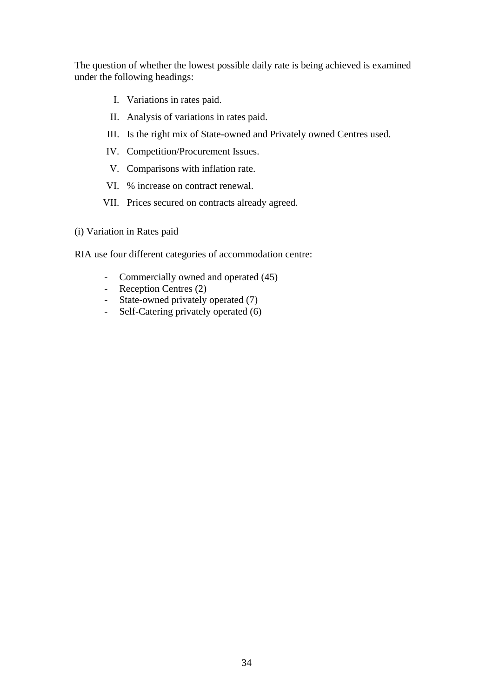The question of whether the lowest possible daily rate is being achieved is examined under the following headings:

- I. Variations in rates paid.
- II. Analysis of variations in rates paid.
- III. Is the right mix of State-owned and Privately owned Centres used.
- IV. Competition/Procurement Issues.
- V. Comparisons with inflation rate.
- VI. % increase on contract renewal.
- VII. Prices secured on contracts already agreed.
- (i) Variation in Rates paid

RIA use four different categories of accommodation centre:

- Commercially owned and operated (45)
- Reception Centres (2)
- State-owned privately operated (7)
- Self-Catering privately operated (6)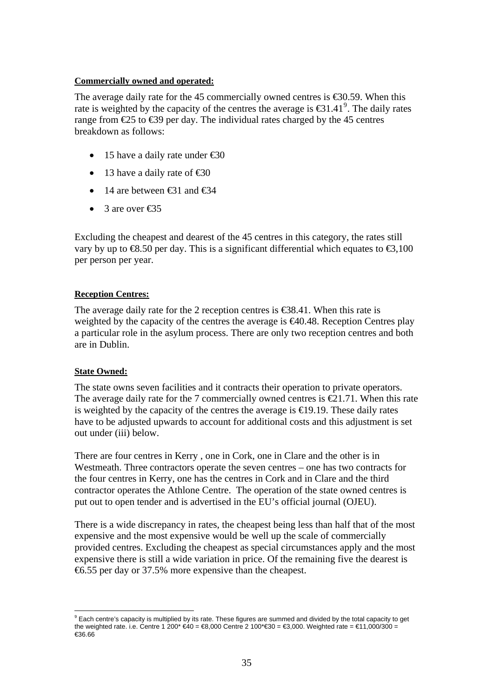#### **Commercially owned and operated:**

The average daily rate for the 45 commercially owned centres is  $\epsilon$ 30.59. When this rate is weighted by the capacity of the centres the average is  $\bigoplus 1.41^\circ$ . The daily rates range from  $\text{\textsterling}25$  to  $\text{\textsterling}39$  per day. The individual rates charged by the 45 centres breakdown as follows:

- 15 have a daily rate under  $\text{\textsterling}0$
- 13 have a daily rate of  $\text{\textsterling}0$
- 14 are between  $\epsilon$ 31 and  $\epsilon$ 34
- 3 are over  $\epsilon$ 35

Excluding the cheapest and dearest of the 45 centres in this category, the rates still vary by up to  $\text{\textsterling}8.50$  per day. This is a significant differential which equates to  $\text{\textsterling}3,100$ per person per year.

### **Reception Centres:**

The average daily rate for the 2 reception centres is  $\epsilon$ 38.41. When this rate is weighted by the capacity of the centres the average is €40.48. Reception Centres play a particular role in the asylum process. There are only two reception centres and both are in Dublin.

#### **State Owned:**

The state owns seven facilities and it contracts their operation to private operators. The average daily rate for the 7 commercially owned centres is  $\epsilon$ 21.71. When this rate is weighted by the capacity of the centres the average is  $\in$  9.19. These daily rates have to be adjusted upwards to account for additional costs and this adjustment is set out under (iii) below.

There are four centres in Kerry , one in Cork, one in Clare and the other is in Westmeath. Three contractors operate the seven centres – one has two contracts for the four centres in Kerry, one has the centres in Cork and in Clare and the third contractor operates the Athlone Centre. The operation of the state owned centres is put out to open tender and is advertised in the EU's official journal (OJEU).

There is a wide discrepancy in rates, the cheapest being less than half that of the most expensive and the most expensive would be well up the scale of commercially provided centres. Excluding the cheapest as special circumstances apply and the most expensive there is still a wide variation in price. Of the remaining five the dearest is €6.55 per day or 37.5% more expensive than the cheapest.

<span id="page-34-0"></span> $\overline{a}$  $^9$  Each centre's capacity is multiplied by its rate. These figures are summed and divided by the total capacity to get the weighted rate. i.e. Centre 1 200\* €40 = €8,000 Centre 2 100\* €30 = €3,000. Weighted rate = €11,000/300 = €36.66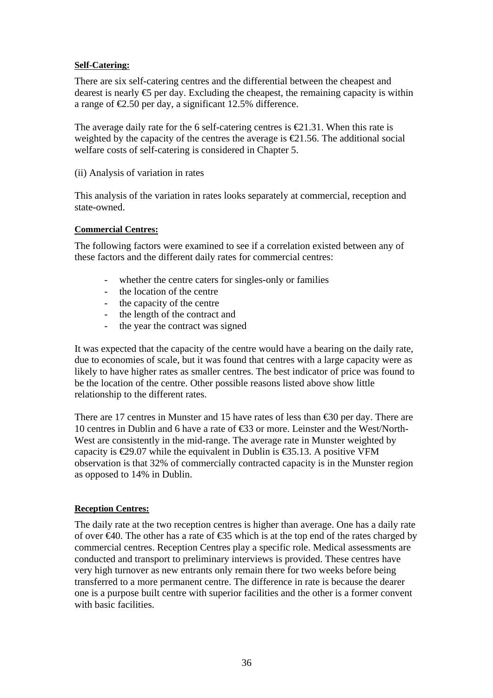#### **Self-Catering:**

There are six self-catering centres and the differential between the cheapest and dearest is nearly  $\epsilon$  per day. Excluding the cheapest, the remaining capacity is within a range of  $\epsilon$ 2.50 per day, a significant 12.5% difference.

The average daily rate for the 6 self-catering centres is  $\epsilon \leq 1.31$ . When this rate is weighted by the capacity of the centres the average is  $\epsilon$ 21.56. The additional social welfare costs of self-catering is considered in Chapter 5.

(ii) Analysis of variation in rates

This analysis of the variation in rates looks separately at commercial, reception and state-owned.

### **Commercial Centres:**

The following factors were examined to see if a correlation existed between any of these factors and the different daily rates for commercial centres:

- whether the centre caters for singles-only or families
- the location of the centre
- the capacity of the centre
- the length of the contract and
- the year the contract was signed

It was expected that the capacity of the centre would have a bearing on the daily rate, due to economies of scale, but it was found that centres with a large capacity were as likely to have higher rates as smaller centres. The best indicator of price was found to be the location of the centre. Other possible reasons listed above show little relationship to the different rates.

There are 17 centres in Munster and 15 have rates of less than  $\epsilon$ 30 per day. There are 10 centres in Dublin and 6 have a rate of €33 or more. Leinster and the West/North-West are consistently in the mid-range. The average rate in Munster weighted by capacity is  $\epsilon$ 29.07 while the equivalent in Dublin is  $\epsilon$ 35.13. A positive VFM observation is that 32% of commercially contracted capacity is in the Munster region as opposed to 14% in Dublin.

### **Reception Centres:**

The daily rate at the two reception centres is higher than average. One has a daily rate of over  $\epsilon 40$ . The other has a rate of  $\epsilon 35$  which is at the top end of the rates charged by commercial centres. Reception Centres play a specific role. Medical assessments are conducted and transport to preliminary interviews is provided. These centres have very high turnover as new entrants only remain there for two weeks before being transferred to a more permanent centre. The difference in rate is because the dearer one is a purpose built centre with superior facilities and the other is a former convent with basic facilities.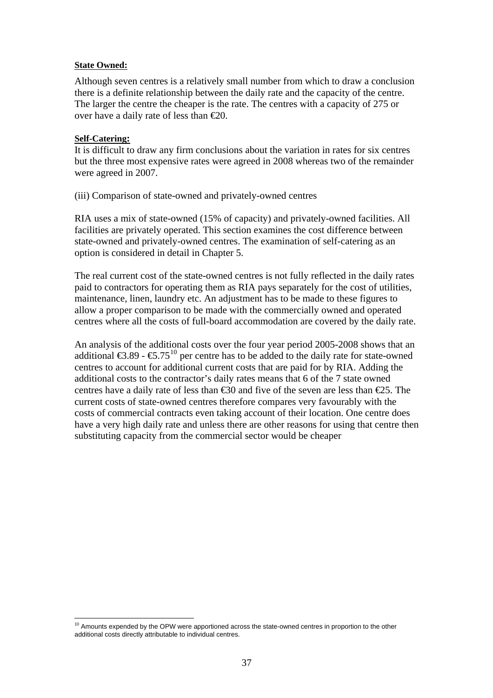#### **State Owned:**

Although seven centres is a relatively small number from which to draw a conclusion there is a definite relationship between the daily rate and the capacity of the centre. The larger the centre the cheaper is the rate. The centres with a capacity of 275 or over have a daily rate of less than  $\epsilon 20$ .

#### **Self-Catering:**

It is difficult to draw any firm conclusions about the variation in rates for six centres but the three most expensive rates were agreed in 2008 whereas two of the remainder were agreed in 2007.

(iii) Comparison of state-owned and privately-owned centres

RIA uses a mix of state-owned (15% of capacity) and privately-owned facilities. All facilities are privately operated. This section examines the cost difference between state-owned and privately-owned centres. The examination of self-catering as an option is considered in detail in Chapter 5.

The real current cost of the state-owned centres is not fully reflected in the daily rates paid to contractors for operating them as RIA pays separately for the cost of utilities, maintenance, linen, laundry etc. An adjustment has to be made to these figures to allow a proper comparison to be made with the commercially owned and operated centres where all the costs of full-board accommodation are covered by the daily rate.

An analysis of the additional costs over the four year period 2005-2008 shows that an additional  $\epsilon$ 3.89 -  $\epsilon$ 5.75<sup>[10](#page-36-0)</sup> per centre has to be added to the daily rate for state-owned centres to account for additional current costs that are paid for by RIA. Adding the additional costs to the contractor's daily rates means that 6 of the 7 state owned centres have a daily rate of less than  $\text{\textsterling}30$  and five of the seven are less than  $\text{\textsterling}25$ . The current costs of state-owned centres therefore compares very favourably with the costs of commercial contracts even taking account of their location. One centre does have a very high daily rate and unless there are other reasons for using that centre then substituting capacity from the commercial sector would be cheaper

<span id="page-36-0"></span> $\overline{a}$  $10$  Amounts expended by the OPW were apportioned across the state-owned centres in proportion to the other additional costs directly attributable to individual centres.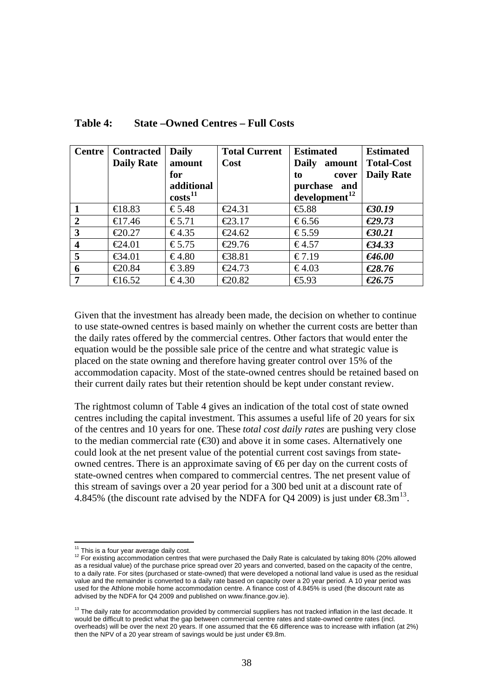| <b>Centre</b>           | <b>Contracted</b><br><b>Daily Rate</b> | <b>Daily</b><br>amount            | <b>Total Current</b><br>Cost | <b>Estimated</b><br><b>Daily</b><br>amount   | <b>Estimated</b><br><b>Total-Cost</b> |
|-------------------------|----------------------------------------|-----------------------------------|------------------------------|----------------------------------------------|---------------------------------------|
|                         |                                        | for                               |                              | to<br>cover                                  | <b>Daily Rate</b>                     |
|                         |                                        | additional<br>costs <sup>11</sup> |                              | purchase<br>and<br>development <sup>12</sup> |                                       |
|                         | $\bigoplus$ 8.83                       | €5.48                             | €24.31                       | $\bigoplus .88$                              | €30.19                                |
| 2                       | $\bigoplus$ 7.46                       | €5.71                             | €23.17                       | €6.56                                        | €29.73                                |
| 3                       | € $20.27$                              | €4.35                             | $\epsilon$ 24.62             | €5.59                                        | $\epsilon$ 30.21                      |
| $\overline{\mathbf{4}}$ | $\epsilon$ 24.01                       | €5.75                             | €29.76                       | €4.57                                        | €34.33                                |
| 5                       | € $34.01$                              | €4.80                             | € $8.81$                     | €7.19                                        | €46.00                                |
| 6                       | € $20.84$                              | €3.89                             | €24.73                       | €4.03                                        | €28.76                                |
| 7                       | $\bigoplus$ 6.52                       | €4.30                             | $\text{\textsterling}0.82$   | $\bigoplus .93$                              | €26.75                                |

### **Table 4: State –Owned Centres – Full Costs**

Given that the investment has already been made, the decision on whether to continue to use state-owned centres is based mainly on whether the current costs are better than the daily rates offered by the commercial centres. Other factors that would enter the equation would be the possible sale price of the centre and what strategic value is placed on the state owning and therefore having greater control over 15% of the accommodation capacity. Most of the state-owned centres should be retained based on their current daily rates but their retention should be kept under constant review.

The rightmost column of Table 4 gives an indication of the total cost of state owned centres including the capital investment. This assumes a useful life of 20 years for six of the centres and 10 years for one. These *total cost daily rates* are pushing very close to the median commercial rate  $(\epsilon \in \mathcal{S}_0)$  and above it in some cases. Alternatively one could look at the net present value of the potential current cost savings from stateowned centres. There is an approximate saving of  $\Theta$  per day on the current costs of state-owned centres when compared to commercial centres. The net present value of this stream of savings over a 20 year period for a 300 bed unit at a discount rate of 4.845% (the discount rate advised by the NDFA for Q4 2009) is just under  $\mathfrak{S}3m^{13}$  $\mathfrak{S}3m^{13}$  $\mathfrak{S}3m^{13}$ .

 $\overline{a}$ 

<span id="page-37-1"></span><span id="page-37-0"></span><sup>&</sup>lt;sup>11</sup> This is a four year average daily cost.<br><sup>12</sup> For existing accommodation centres that were purchased the Daily Rate is calculated by taking 80% (20% allowed as a residual value) of the purchase price spread over 20 years and converted, based on the capacity of the centre, to a daily rate. For sites (purchased or state-owned) that were developed a notional land value is used as the residual value and the remainder is converted to a daily rate based on capacity over a 20 year period. A 10 year period was used for the Athlone mobile home accommodation centre. A finance cost of 4.845% is used (the discount rate as advised by the NDFA for Q4 2009 and published on www.finance.gov.ie).

<span id="page-37-2"></span><sup>&</sup>lt;sup>13</sup> The daily rate for accommodation provided by commercial suppliers has not tracked inflation in the last decade. It would be difficult to predict what the gap between commercial centre rates and state-owned centre rates (incl. overheads) will be over the next 20 years. If one assumed that the €6 difference was to increase with inflation (at 2%) then the NPV of a 20 year stream of savings would be just under €9.8m.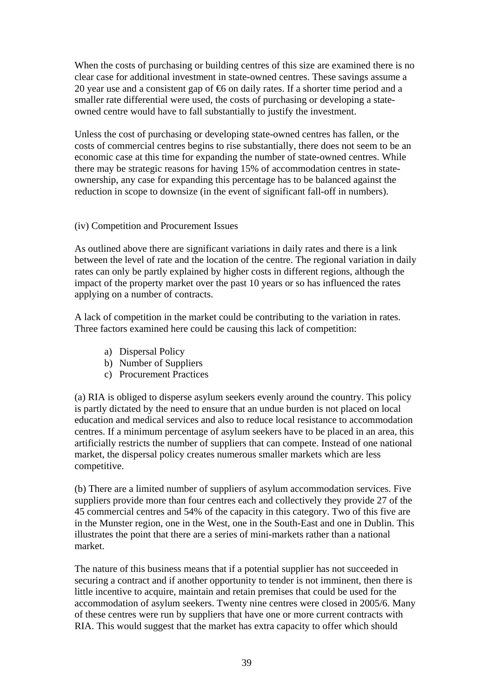When the costs of purchasing or building centres of this size are examined there is no clear case for additional investment in state-owned centres. These savings assume a 20 year use and a consistent gap of  $\epsilon$  on daily rates. If a shorter time period and a smaller rate differential were used, the costs of purchasing or developing a stateowned centre would have to fall substantially to justify the investment.

Unless the cost of purchasing or developing state-owned centres has fallen, or the costs of commercial centres begins to rise substantially, there does not seem to be an economic case at this time for expanding the number of state-owned centres. While there may be strategic reasons for having 15% of accommodation centres in stateownership, any case for expanding this percentage has to be balanced against the reduction in scope to downsize (in the event of significant fall-off in numbers).

#### (iv) Competition and Procurement Issues

As outlined above there are significant variations in daily rates and there is a link between the level of rate and the location of the centre. The regional variation in daily rates can only be partly explained by higher costs in different regions, although the impact of the property market over the past 10 years or so has influenced the rates applying on a number of contracts.

A lack of competition in the market could be contributing to the variation in rates. Three factors examined here could be causing this lack of competition:

- a) Dispersal Policy
- b) Number of Suppliers
- c) Procurement Practices

(a) RIA is obliged to disperse asylum seekers evenly around the country. This policy is partly dictated by the need to ensure that an undue burden is not placed on local education and medical services and also to reduce local resistance to accommodation centres. If a minimum percentage of asylum seekers have to be placed in an area, this artificially restricts the number of suppliers that can compete. Instead of one national market, the dispersal policy creates numerous smaller markets which are less competitive.

(b) There are a limited number of suppliers of asylum accommodation services. Five suppliers provide more than four centres each and collectively they provide 27 of the 45 commercial centres and 54% of the capacity in this category. Two of this five are in the Munster region, one in the West, one in the South-East and one in Dublin. This illustrates the point that there are a series of mini-markets rather than a national market.

The nature of this business means that if a potential supplier has not succeeded in securing a contract and if another opportunity to tender is not imminent, then there is little incentive to acquire, maintain and retain premises that could be used for the accommodation of asylum seekers. Twenty nine centres were closed in 2005/6. Many of these centres were run by suppliers that have one or more current contracts with RIA. This would suggest that the market has extra capacity to offer which should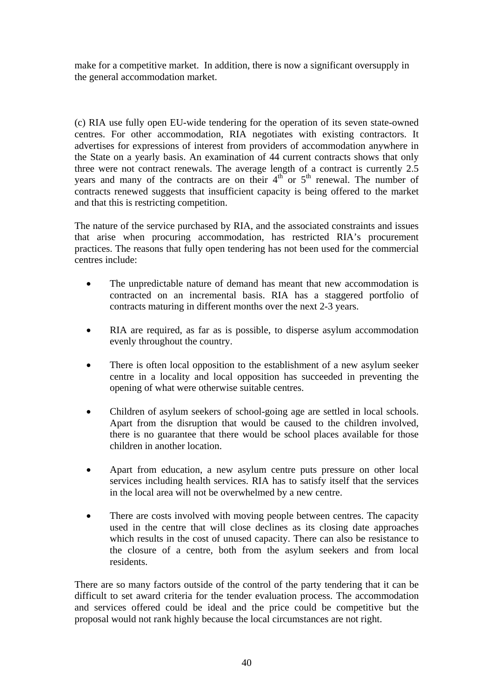make for a competitive market. In addition, there is now a significant oversupply in the general accommodation market.

(c) RIA use fully open EU-wide tendering for the operation of its seven state-owned centres. For other accommodation, RIA negotiates with existing contractors. It advertises for expressions of interest from providers of accommodation anywhere in the State on a yearly basis. An examination of 44 current contracts shows that only three were not contract renewals. The average length of a contract is currently 2.5 years and many of the contracts are on their  $4<sup>th</sup>$  or  $5<sup>th</sup>$  renewal. The number of contracts renewed suggests that insufficient capacity is being offered to the market and that this is restricting competition.

The nature of the service purchased by RIA, and the associated constraints and issues that arise when procuring accommodation, has restricted RIA's procurement practices. The reasons that fully open tendering has not been used for the commercial centres include:

- The unpredictable nature of demand has meant that new accommodation is contracted on an incremental basis. RIA has a staggered portfolio of contracts maturing in different months over the next 2-3 years.
- RIA are required, as far as is possible, to disperse asylum accommodation evenly throughout the country.
- There is often local opposition to the establishment of a new asylum seeker centre in a locality and local opposition has succeeded in preventing the opening of what were otherwise suitable centres.
- Children of asylum seekers of school-going age are settled in local schools. Apart from the disruption that would be caused to the children involved, there is no guarantee that there would be school places available for those children in another location.
- Apart from education, a new asylum centre puts pressure on other local services including health services. RIA has to satisfy itself that the services in the local area will not be overwhelmed by a new centre.
- There are costs involved with moving people between centres. The capacity used in the centre that will close declines as its closing date approaches which results in the cost of unused capacity. There can also be resistance to the closure of a centre, both from the asylum seekers and from local residents.

There are so many factors outside of the control of the party tendering that it can be difficult to set award criteria for the tender evaluation process. The accommodation and services offered could be ideal and the price could be competitive but the proposal would not rank highly because the local circumstances are not right.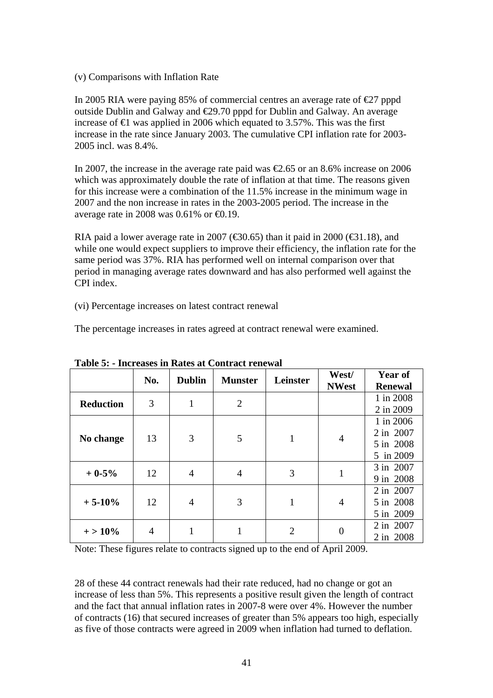(v) Comparisons with Inflation Rate

In 2005 RIA were paying 85% of commercial centres an average rate of  $\epsilon$ 27 pppd outside Dublin and Galway and €29.70 pppd for Dublin and Galway. An average increase of  $\epsilon$  was applied in 2006 which equated to 3.57%. This was the first increase in the rate since January 2003. The cumulative CPI inflation rate for 2003- 2005 incl. was 8.4%.

In 2007, the increase in the average rate paid was  $\epsilon$ 2.65 or an 8.6% increase on 2006 which was approximately double the rate of inflation at that time. The reasons given for this increase were a combination of the 11.5% increase in the minimum wage in 2007 and the non increase in rates in the 2003-2005 period. The increase in the average rate in 2008 was  $0.61\%$  or  $\bigoplus$ .19.

RIA paid a lower average rate in 2007 ( $\text{\textsterling}30.65$ ) than it paid in 2000 ( $\text{\textsterling}31.18$ ), and while one would expect suppliers to improve their efficiency, the inflation rate for the same period was 37%. RIA has performed well on internal comparison over that period in managing average rates downward and has also performed well against the CPI index.

(vi) Percentage increases on latest contract renewal

The percentage increases in rates agreed at contract renewal were examined.

|                  | No. | <b>Dublin</b> | <b>Munster</b> | Leinster       | West/<br><b>NWest</b> | <b>Year of</b><br><b>Renewal</b>                 |
|------------------|-----|---------------|----------------|----------------|-----------------------|--------------------------------------------------|
| <b>Reduction</b> | 3   | 1             | 2              |                |                       | 1 in 2008<br>2 in 2009                           |
| No change        | 13  | 3             | 5              |                | 4                     | 1 in 2006<br>2 in 2007<br>5 in 2008<br>5 in 2009 |
| $+0.5%$          | 12  | 4             | 4              | 3              |                       | 3 in 2007<br>9 in 2008                           |
| $+5-10%$         | 12  | 4             | 3              | 1              | 4                     | 2 in 2007<br>5 in 2008<br>5 in 2009              |
| $+ > 10\%$       | 4   |               | 1              | $\overline{2}$ | $\theta$              | 2 in 2007<br>2 in 2008                           |

**Table 5: - Increases in Rates at Contract renewal** 

Note: These figures relate to contracts signed up to the end of April 2009.

28 of these 44 contract renewals had their rate reduced, had no change or got an increase of less than 5%. This represents a positive result given the length of contract and the fact that annual inflation rates in 2007-8 were over 4%. However the number of contracts (16) that secured increases of greater than 5% appears too high, especially as five of those contracts were agreed in 2009 when inflation had turned to deflation.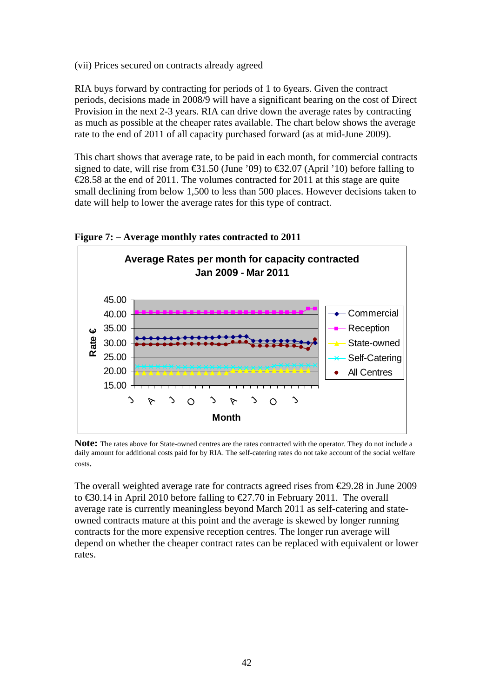(vii) Prices secured on contracts already agreed

RIA buys forward by contracting for periods of 1 to 6years. Given the contract periods, decisions made in 2008/9 will have a significant bearing on the cost of Direct Provision in the next 2-3 years. RIA can drive down the average rates by contracting as much as possible at the cheaper rates available. The chart below shows the average rate to the end of 2011 of all capacity purchased forward (as at mid-June 2009).

This chart shows that average rate, to be paid in each month, for commercial contracts signed to date, will rise from  $\text{\textsterling}31.50$  (June '09) to  $\text{\textsterling}32.07$  (April '10) before falling to  $\epsilon$ 28.58 at the end of 2011. The volumes contracted for 2011 at this stage are quite small declining from below 1,500 to less than 500 places. However decisions taken to date will help to lower the average rates for this type of contract.



**Figure 7: – Average monthly rates contracted to 2011** 

**Note:** The rates above for State-owned centres are the rates contracted with the operator. They do not include a daily amount for additional costs paid for by RIA. The self-catering rates do not take account of the social welfare costs.

The overall weighted average rate for contracts agreed rises from €29.28 in June 2009 to €30.14 in April 2010 before falling to €27.70 in February 2011. The overall average rate is currently meaningless beyond March 2011 as self-catering and stateowned contracts mature at this point and the average is skewed by longer running contracts for the more expensive reception centres. The longer run average will depend on whether the cheaper contract rates can be replaced with equivalent or lower rates.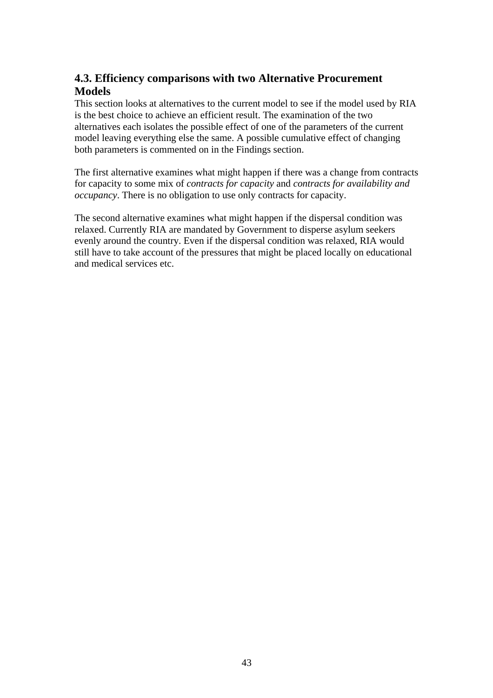# **4.3. Efficiency comparisons with two Alternative Procurement Models**

This section looks at alternatives to the current model to see if the model used by RIA is the best choice to achieve an efficient result. The examination of the two alternatives each isolates the possible effect of one of the parameters of the current model leaving everything else the same. A possible cumulative effect of changing both parameters is commented on in the Findings section.

The first alternative examines what might happen if there was a change from contracts for capacity to some mix of *contracts for capacity* and *contracts for availability and occupancy*. There is no obligation to use only contracts for capacity.

The second alternative examines what might happen if the dispersal condition was relaxed. Currently RIA are mandated by Government to disperse asylum seekers evenly around the country. Even if the dispersal condition was relaxed, RIA would still have to take account of the pressures that might be placed locally on educational and medical services etc.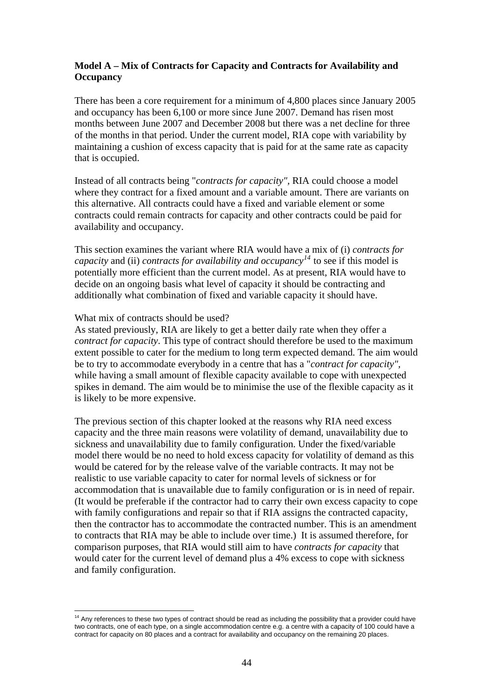## **Model A – Mix of Contracts for Capacity and Contracts for Availability and Occupancy**

There has been a core requirement for a minimum of 4,800 places since January 2005 and occupancy has been 6,100 or more since June 2007. Demand has risen most months between June 2007 and December 2008 but there was a net decline for three of the months in that period. Under the current model, RIA cope with variability by maintaining a cushion of excess capacity that is paid for at the same rate as capacity that is occupied.

Instead of all contracts being "*contracts for capacity",* RIA could choose a model where they contract for a fixed amount and a variable amount. There are variants on this alternative. All contracts could have a fixed and variable element or some contracts could remain contracts for capacity and other contracts could be paid for availability and occupancy.

This section examines the variant where RIA would have a mix of (i) *contracts for capacity* and (ii) *contracts for availability and occupancy*<sup> $14$ </sup> to see if this model is potentially more efficient than the current model. As at present, RIA would have to decide on an ongoing basis what level of capacity it should be contracting and additionally what combination of fixed and variable capacity it should have.

#### What mix of contracts should be used?

 $\overline{a}$ 

As stated previously, RIA are likely to get a better daily rate when they offer a *contract for capacity*. This type of contract should therefore be used to the maximum extent possible to cater for the medium to long term expected demand. The aim would be to try to accommodate everybody in a centre that has a "*contract for capacity",* while having a small amount of flexible capacity available to cope with unexpected spikes in demand. The aim would be to minimise the use of the flexible capacity as it is likely to be more expensive.

The previous section of this chapter looked at the reasons why RIA need excess capacity and the three main reasons were volatility of demand, unavailability due to sickness and unavailability due to family configuration. Under the fixed/variable model there would be no need to hold excess capacity for volatility of demand as this would be catered for by the release valve of the variable contracts. It may not be realistic to use variable capacity to cater for normal levels of sickness or for accommodation that is unavailable due to family configuration or is in need of repair. (It would be preferable if the contractor had to carry their own excess capacity to cope with family configurations and repair so that if RIA assigns the contracted capacity, then the contractor has to accommodate the contracted number. This is an amendment to contracts that RIA may be able to include over time.) It is assumed therefore, for comparison purposes, that RIA would still aim to have *contracts for capacity* that would cater for the current level of demand plus a 4% excess to cope with sickness and family configuration.

<span id="page-43-0"></span> $14$  Any references to these two types of contract should be read as including the possibility that a provider could have two contracts, one of each type, on a single accommodation centre e.g. a centre with a capacity of 100 could have a contract for capacity on 80 places and a contract for availability and occupancy on the remaining 20 places.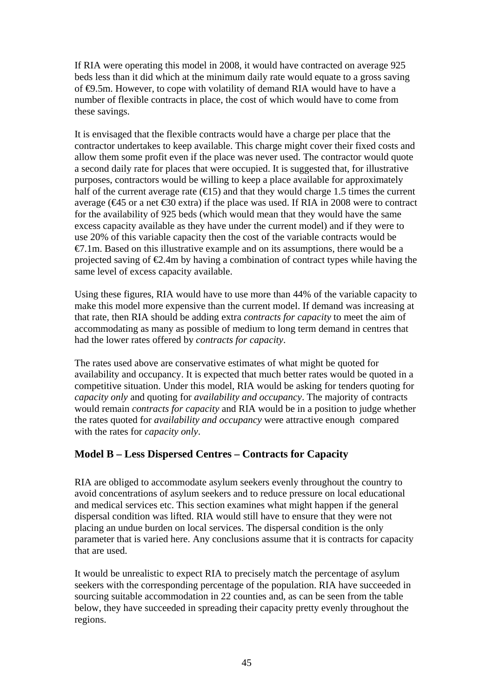If RIA were operating this model in 2008, it would have contracted on average 925 beds less than it did which at the minimum daily rate would equate to a gross saving of €9.5m. However, to cope with volatility of demand RIA would have to have a number of flexible contracts in place, the cost of which would have to come from these savings.

It is envisaged that the flexible contracts would have a charge per place that the contractor undertakes to keep available. This charge might cover their fixed costs and allow them some profit even if the place was never used. The contractor would quote a second daily rate for places that were occupied. It is suggested that, for illustrative purposes, contractors would be willing to keep a place available for approximately half of the current average rate  $(\epsilon 15)$  and that they would charge 1.5 times the current average ( $\text{€45}$  or a net  $\text{€30}$  extra) if the place was used. If RIA in 2008 were to contract for the availability of 925 beds (which would mean that they would have the same excess capacity available as they have under the current model) and if they were to use 20% of this variable capacity then the cost of the variable contracts would be  $\epsilon$ 7.1m. Based on this illustrative example and on its assumptions, there would be a projected saving of  $\epsilon 2.4$ m by having a combination of contract types while having the same level of excess capacity available.

Using these figures, RIA would have to use more than 44% of the variable capacity to make this model more expensive than the current model. If demand was increasing at that rate, then RIA should be adding extra *contracts for capacity* to meet the aim of accommodating as many as possible of medium to long term demand in centres that had the lower rates offered by *contracts for capacity*.

The rates used above are conservative estimates of what might be quoted for availability and occupancy. It is expected that much better rates would be quoted in a competitive situation. Under this model, RIA would be asking for tenders quoting for *capacity only* and quoting for *availability and occupancy*. The majority of contracts would remain *contracts for capacity* and RIA would be in a position to judge whether the rates quoted for *availability and occupancy* were attractive enough compared with the rates for *capacity only*.

## **Model B – Less Dispersed Centres – Contracts for Capacity**

RIA are obliged to accommodate asylum seekers evenly throughout the country to avoid concentrations of asylum seekers and to reduce pressure on local educational and medical services etc. This section examines what might happen if the general dispersal condition was lifted. RIA would still have to ensure that they were not placing an undue burden on local services. The dispersal condition is the only parameter that is varied here. Any conclusions assume that it is contracts for capacity that are used.

It would be unrealistic to expect RIA to precisely match the percentage of asylum seekers with the corresponding percentage of the population. RIA have succeeded in sourcing suitable accommodation in 22 counties and, as can be seen from the table below, they have succeeded in spreading their capacity pretty evenly throughout the regions.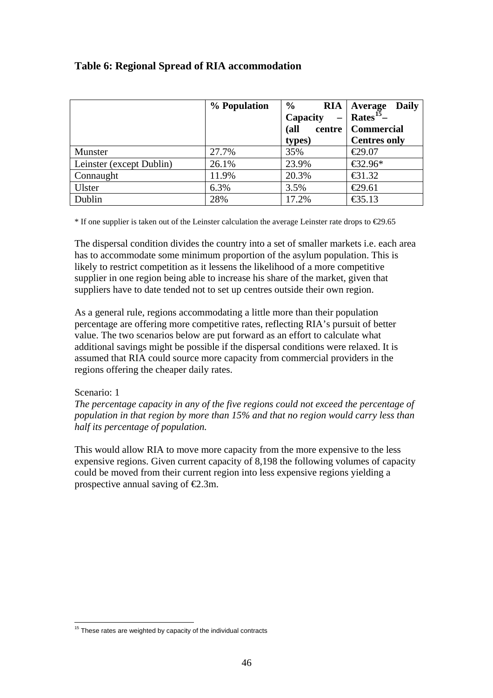|                          | % Population | $\%$     | $RIA$   Average<br><b>Daily</b> |
|--------------------------|--------------|----------|---------------------------------|
|                          |              | Capacity | Rates <sup>15</sup> -           |
|                          |              | (all     | centre   Commercial             |
|                          |              | types)   | <b>Centres only</b>             |
| Munster                  | 27.7%        | 35%      | €29.07                          |
| Leinster (except Dublin) | 26.1%        | 23.9%    | €32.96*                         |
| Connaught                | 11.9%        | 20.3%    | $\bigoplus$ 1.32                |
| Ulster                   | 6.3%         | 3.5%     | €29.61                          |
| Dublin                   | 28%          | 17.2%    | €35.13                          |

## **Table 6: Regional Spread of RIA accommodation**

 $*$  If one supplier is taken out of the Leinster calculation the average Leinster rate drops to  $\epsilon$ 29.65

The dispersal condition divides the country into a set of smaller markets i.e. each area has to accommodate some minimum proportion of the asylum population. This is likely to restrict competition as it lessens the likelihood of a more competitive supplier in one region being able to increase his share of the market, given that suppliers have to date tended not to set up centres outside their own region.

As a general rule, regions accommodating a little more than their population percentage are offering more competitive rates, reflecting RIA's pursuit of better value. The two scenarios below are put forward as an effort to calculate what additional savings might be possible if the dispersal conditions were relaxed. It is assumed that RIA could source more capacity from commercial providers in the regions offering the cheaper daily rates.

#### Scenario: 1

*The percentage capacity in any of the five regions could not exceed the percentage of population in that region by more than 15% and that no region would carry less than half its percentage of population.* 

This would allow RIA to move more capacity from the more expensive to the less expensive regions. Given current capacity of 8,198 the following volumes of capacity could be moved from their current region into less expensive regions yielding a prospective annual saving of  $\epsilon$ 2.3m.

<span id="page-45-0"></span> $\overline{a}$  $15$  These rates are weighted by capacity of the individual contracts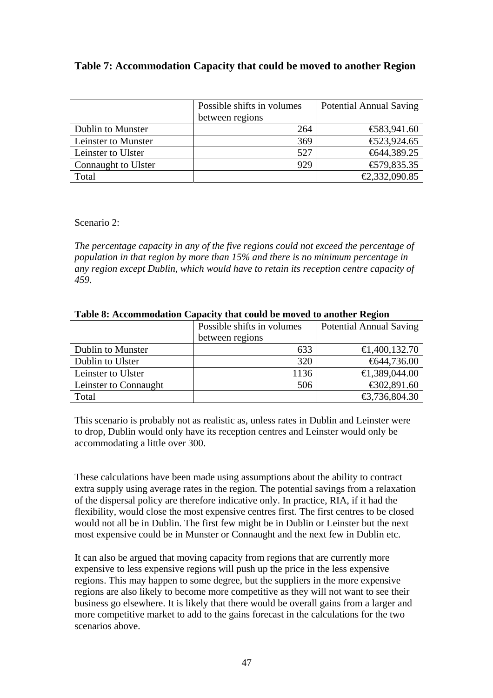## **Table 7: Accommodation Capacity that could be moved to another Region**

|                     | Possible shifts in volumes | <b>Potential Annual Saving</b> |
|---------------------|----------------------------|--------------------------------|
|                     | between regions            |                                |
| Dublin to Munster   | 264                        | € $83,941.60$                  |
| Leinster to Munster | 369                        | € $23,924.65$                  |
| Leinster to Ulster  | 527                        | €644,389.25                    |
| Connaught to Ulster | 929                        | € $79,835.35$                  |
| Total               |                            | €2,332,090.85                  |

Scenario 2:

*The percentage capacity in any of the five regions could not exceed the percentage of population in that region by more than 15% and there is no minimum percentage in any region except Dublin, which would have to retain its reception centre capacity of 459.* 

|                       | Possible shifts in volumes | <b>Potential Annual Saving</b> |  |  |
|-----------------------|----------------------------|--------------------------------|--|--|
|                       | between regions            |                                |  |  |
| Dublin to Munster     | 633                        | $\bigoplus$ , 400, 132.70      |  |  |
| Dublin to Ulster      | 320                        | $\textcolor{blue}{6}44,736.00$ |  |  |
| Leinster to Ulster    | 1136                       | €1,389,044.00                  |  |  |
| Leinster to Connaught | 506                        | € $02,891.60$                  |  |  |
| Total                 |                            | €3,736,804.30                  |  |  |

#### **Table 8: Accommodation Capacity that could be moved to another Region**

This scenario is probably not as realistic as, unless rates in Dublin and Leinster were to drop, Dublin would only have its reception centres and Leinster would only be accommodating a little over 300.

These calculations have been made using assumptions about the ability to contract extra supply using average rates in the region. The potential savings from a relaxation of the dispersal policy are therefore indicative only. In practice, RIA, if it had the flexibility, would close the most expensive centres first. The first centres to be closed would not all be in Dublin. The first few might be in Dublin or Leinster but the next most expensive could be in Munster or Connaught and the next few in Dublin etc.

It can also be argued that moving capacity from regions that are currently more expensive to less expensive regions will push up the price in the less expensive regions. This may happen to some degree, but the suppliers in the more expensive regions are also likely to become more competitive as they will not want to see their business go elsewhere. It is likely that there would be overall gains from a larger and more competitive market to add to the gains forecast in the calculations for the two scenarios above.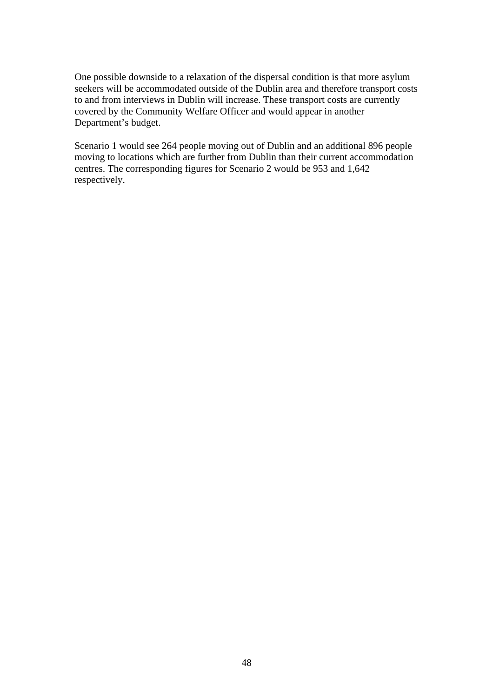One possible downside to a relaxation of the dispersal condition is that more asylum seekers will be accommodated outside of the Dublin area and therefore transport costs to and from interviews in Dublin will increase. These transport costs are currently covered by the Community Welfare Officer and would appear in another Department's budget.

Scenario 1 would see 264 people moving out of Dublin and an additional 896 people moving to locations which are further from Dublin than their current accommodation centres. The corresponding figures for Scenario 2 would be 953 and 1,642 respectively.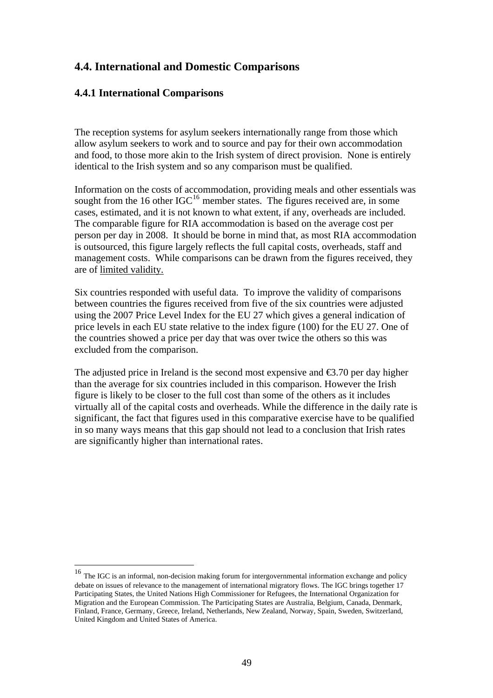## **4.4. International and Domestic Comparisons**

## **4.4.1 International Comparisons**

 $\overline{a}$ 

The reception systems for asylum seekers internationally range from those which allow asylum seekers to work and to source and pay for their own accommodation and food, to those more akin to the Irish system of direct provision. None is entirely identical to the Irish system and so any comparison must be qualified.

Information on the costs of accommodation, providing meals and other essentials was sought from the [16](#page-48-0) other  $IGC<sup>16</sup>$  member states. The figures received are, in some cases, estimated, and it is not known to what extent, if any, overheads are included. The comparable figure for RIA accommodation is based on the average cost per person per day in 2008. It should be borne in mind that, as most RIA accommodation is outsourced, this figure largely reflects the full capital costs, overheads, staff and management costs. While comparisons can be drawn from the figures received, they are of limited validity.

Six countries responded with useful data. To improve the validity of comparisons between countries the figures received from five of the six countries were adjusted using the 2007 Price Level Index for the EU 27 which gives a general indication of price levels in each EU state relative to the index figure (100) for the EU 27. One of the countries showed a price per day that was over twice the others so this was excluded from the comparison.

The adjusted price in Ireland is the second most expensive and  $\epsilon$ 3.70 per day higher than the average for six countries included in this comparison. However the Irish figure is likely to be closer to the full cost than some of the others as it includes virtually all of the capital costs and overheads. While the difference in the daily rate is significant, the fact that figures used in this comparative exercise have to be qualified in so many ways means that this gap should not lead to a conclusion that Irish rates are significantly higher than international rates.

<span id="page-48-0"></span><sup>&</sup>lt;sup>16</sup> The IGC is an informal, non-decision making forum for intergovernmental information exchange and policy debate on issues of relevance to the management of international migratory flows. The IGC brings together 17 Participating States, the United Nations High Commissioner for Refugees, the International Organization for Migration and the European Commission. The Participating States are Australia, Belgium, Canada, Denmark, Finland, France, Germany, Greece, Ireland, Netherlands, New Zealand, Norway, Spain, Sweden, Switzerland, United Kingdom and United States of America.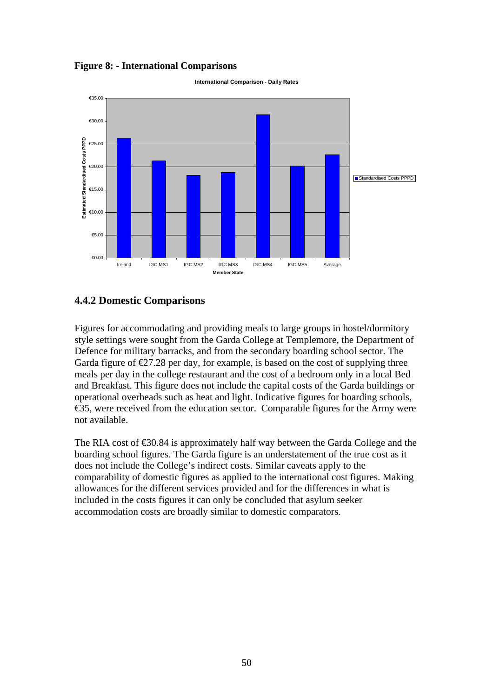#### **Figure 8: - International Comparisons**



**International Comparison - Daily Rates**

### **4.4.2 Domestic Comparisons**

Figures for accommodating and providing meals to large groups in hostel/dormitory style settings were sought from the Garda College at Templemore, the Department of Defence for military barracks, and from the secondary boarding school sector. The Garda figure of  $\epsilon$ 27.28 per day, for example, is based on the cost of supplying three meals per day in the college restaurant and the cost of a bedroom only in a local Bed and Breakfast. This figure does not include the capital costs of the Garda buildings or operational overheads such as heat and light. Indicative figures for boarding schools, €35, were received from the education sector. Comparable figures for the Army were not available.

The RIA cost of  $\epsilon$ 30.84 is approximately half way between the Garda College and the boarding school figures. The Garda figure is an understatement of the true cost as it does not include the College's indirect costs. Similar caveats apply to the comparability of domestic figures as applied to the international cost figures. Making allowances for the different services provided and for the differences in what is included in the costs figures it can only be concluded that asylum seeker accommodation costs are broadly similar to domestic comparators.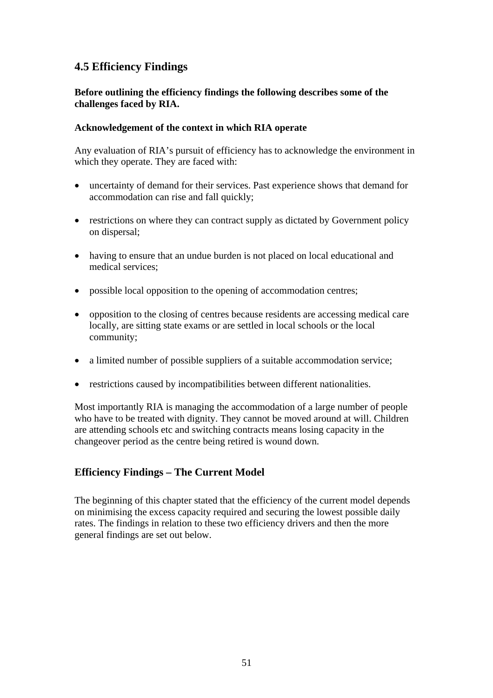# **4.5 Efficiency Findings**

## **Before outlining the efficiency findings the following describes some of the challenges faced by RIA.**

### **Acknowledgement of the context in which RIA operate**

Any evaluation of RIA's pursuit of efficiency has to acknowledge the environment in which they operate. They are faced with:

- uncertainty of demand for their services. Past experience shows that demand for accommodation can rise and fall quickly;
- restrictions on where they can contract supply as dictated by Government policy on dispersal;
- having to ensure that an undue burden is not placed on local educational and medical services;
- possible local opposition to the opening of accommodation centres;
- opposition to the closing of centres because residents are accessing medical care locally, are sitting state exams or are settled in local schools or the local community;
- a limited number of possible suppliers of a suitable accommodation service;
- restrictions caused by incompatibilities between different nationalities.

Most importantly RIA is managing the accommodation of a large number of people who have to be treated with dignity. They cannot be moved around at will. Children are attending schools etc and switching contracts means losing capacity in the changeover period as the centre being retired is wound down.

## **Efficiency Findings – The Current Model**

The beginning of this chapter stated that the efficiency of the current model depends on minimising the excess capacity required and securing the lowest possible daily rates. The findings in relation to these two efficiency drivers and then the more general findings are set out below.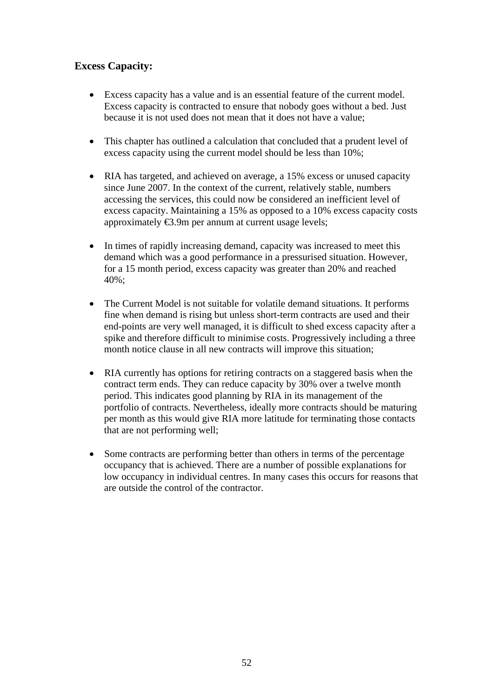## **Excess Capacity:**

- Excess capacity has a value and is an essential feature of the current model. Excess capacity is contracted to ensure that nobody goes without a bed. Just because it is not used does not mean that it does not have a value;
- This chapter has outlined a calculation that concluded that a prudent level of excess capacity using the current model should be less than 10%;
- RIA has targeted, and achieved on average, a 15% excess or unused capacity since June 2007. In the context of the current, relatively stable, numbers accessing the services, this could now be considered an inefficient level of excess capacity. Maintaining a 15% as opposed to a 10% excess capacity costs approximately €3.9m per annum at current usage levels;
- In times of rapidly increasing demand, capacity was increased to meet this demand which was a good performance in a pressurised situation. However, for a 15 month period, excess capacity was greater than 20% and reached 40%;
- The Current Model is not suitable for volatile demand situations. It performs fine when demand is rising but unless short-term contracts are used and their end-points are very well managed, it is difficult to shed excess capacity after a spike and therefore difficult to minimise costs. Progressively including a three month notice clause in all new contracts will improve this situation;
- RIA currently has options for retiring contracts on a staggered basis when the contract term ends. They can reduce capacity by 30% over a twelve month period. This indicates good planning by RIA in its management of the portfolio of contracts. Nevertheless, ideally more contracts should be maturing per month as this would give RIA more latitude for terminating those contacts that are not performing well;
- Some contracts are performing better than others in terms of the percentage occupancy that is achieved. There are a number of possible explanations for low occupancy in individual centres. In many cases this occurs for reasons that are outside the control of the contractor.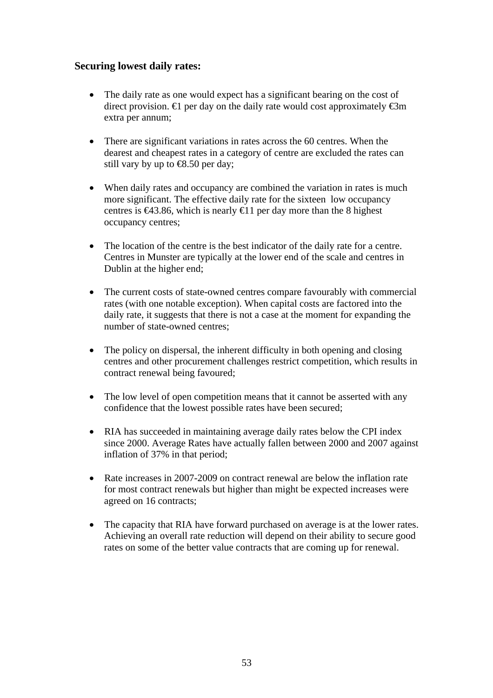## **Securing lowest daily rates:**

- The daily rate as one would expect has a significant bearing on the cost of direct provision.  $\in$  per day on the daily rate would cost approximately  $\in$ 3m extra per annum;
- There are significant variations in rates across the 60 centres. When the dearest and cheapest rates in a category of centre are excluded the rates can still vary by up to  $\text{\textcircled{\textsf{R}}.50}$  per day;
- When daily rates and occupancy are combined the variation in rates is much more significant. The effective daily rate for the sixteen low occupancy centres is  $\epsilon$ 43.86, which is nearly  $\epsilon$ 11 per day more than the 8 highest occupancy centres;
- The location of the centre is the best indicator of the daily rate for a centre. Centres in Munster are typically at the lower end of the scale and centres in Dublin at the higher end;
- The current costs of state-owned centres compare favourably with commercial rates (with one notable exception). When capital costs are factored into the daily rate, it suggests that there is not a case at the moment for expanding the number of state-owned centres;
- The policy on dispersal, the inherent difficulty in both opening and closing centres and other procurement challenges restrict competition, which results in contract renewal being favoured;
- The low level of open competition means that it cannot be asserted with any confidence that the lowest possible rates have been secured;
- RIA has succeeded in maintaining average daily rates below the CPI index since 2000. Average Rates have actually fallen between 2000 and 2007 against inflation of 37% in that period;
- Rate increases in 2007-2009 on contract renewal are below the inflation rate for most contract renewals but higher than might be expected increases were agreed on 16 contracts;
- The capacity that RIA have forward purchased on average is at the lower rates. Achieving an overall rate reduction will depend on their ability to secure good rates on some of the better value contracts that are coming up for renewal.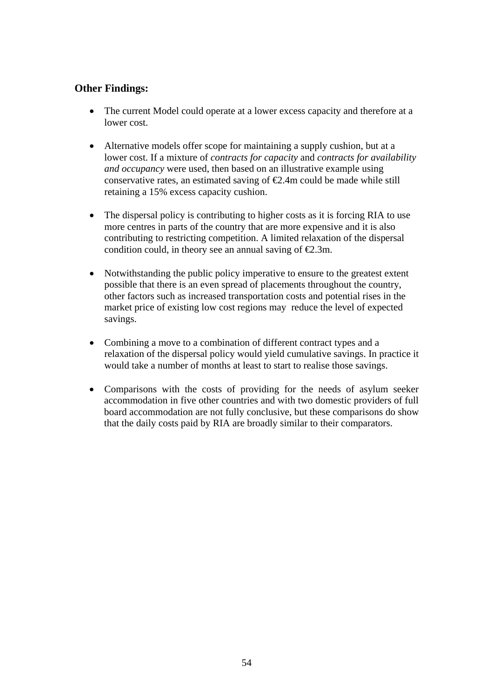## **Other Findings:**

- The current Model could operate at a lower excess capacity and therefore at a lower cost.
- Alternative models offer scope for maintaining a supply cushion, but at a lower cost. If a mixture of *contracts for capacity* and *contracts for availability and occupancy* were used, then based on an illustrative example using conservative rates, an estimated saving of  $\epsilon$ 2.4m could be made while still retaining a 15% excess capacity cushion.
- The dispersal policy is contributing to higher costs as it is forcing RIA to use more centres in parts of the country that are more expensive and it is also contributing to restricting competition. A limited relaxation of the dispersal condition could, in theory see an annual saving of  $\epsilon 2.3$ m.
- Notwithstanding the public policy imperative to ensure to the greatest extent possible that there is an even spread of placements throughout the country, other factors such as increased transportation costs and potential rises in the market price of existing low cost regions may reduce the level of expected savings.
- Combining a move to a combination of different contract types and a relaxation of the dispersal policy would yield cumulative savings. In practice it would take a number of months at least to start to realise those savings.
- Comparisons with the costs of providing for the needs of asylum seeker accommodation in five other countries and with two domestic providers of full board accommodation are not fully conclusive, but these comparisons do show that the daily costs paid by RIA are broadly similar to their comparators.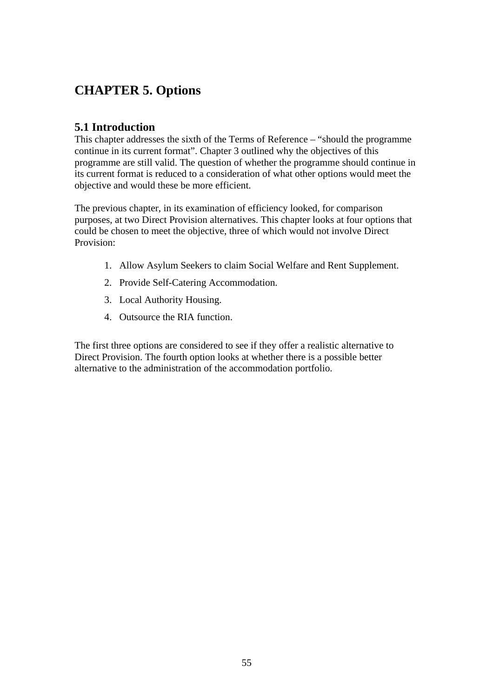# **CHAPTER 5. Options**

## **5.1 Introduction**

This chapter addresses the sixth of the Terms of Reference – "should the programme continue in its current format". Chapter 3 outlined why the objectives of this programme are still valid. The question of whether the programme should continue in its current format is reduced to a consideration of what other options would meet the objective and would these be more efficient.

The previous chapter, in its examination of efficiency looked, for comparison purposes, at two Direct Provision alternatives. This chapter looks at four options that could be chosen to meet the objective, three of which would not involve Direct Provision:

- 1. Allow Asylum Seekers to claim Social Welfare and Rent Supplement.
- 2. Provide Self-Catering Accommodation.
- 3. Local Authority Housing.
- 4. Outsource the RIA function.

The first three options are considered to see if they offer a realistic alternative to Direct Provision. The fourth option looks at whether there is a possible better alternative to the administration of the accommodation portfolio.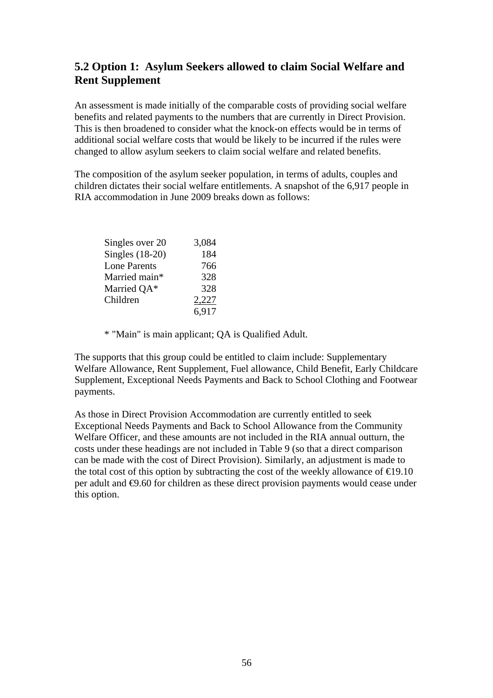# **5.2 Option 1: Asylum Seekers allowed to claim Social Welfare and Rent Supplement**

An assessment is made initially of the comparable costs of providing social welfare benefits and related payments to the numbers that are currently in Direct Provision. This is then broadened to consider what the knock-on effects would be in terms of additional social welfare costs that would be likely to be incurred if the rules were changed to allow asylum seekers to claim social welfare and related benefits.

The composition of the asylum seeker population, in terms of adults, couples and children dictates their social welfare entitlements. A snapshot of the 6,917 people in RIA accommodation in June 2009 breaks down as follows:

| Singles over 20     | 3,084 |
|---------------------|-------|
| Singles $(18-20)$   | 184   |
| <b>Lone Parents</b> | 766   |
| Married main*       | 328   |
| Married QA*         | 328   |
| Children            | 2,227 |
|                     | 6,917 |

\* "Main" is main applicant; QA is Qualified Adult.

The supports that this group could be entitled to claim include: Supplementary Welfare Allowance, Rent Supplement, Fuel allowance, Child Benefit, Early Childcare Supplement, Exceptional Needs Payments and Back to School Clothing and Footwear payments.

As those in Direct Provision Accommodation are currently entitled to seek Exceptional Needs Payments and Back to School Allowance from the Community Welfare Officer, and these amounts are not included in the RIA annual outturn, the costs under these headings are not included in Table 9 (so that a direct comparison can be made with the cost of Direct Provision). Similarly, an adjustment is made to the total cost of this option by subtracting the cost of the weekly allowance of  $\epsilon$ 19.10 per adult and  $\Theta$ .60 for children as these direct provision payments would cease under this option.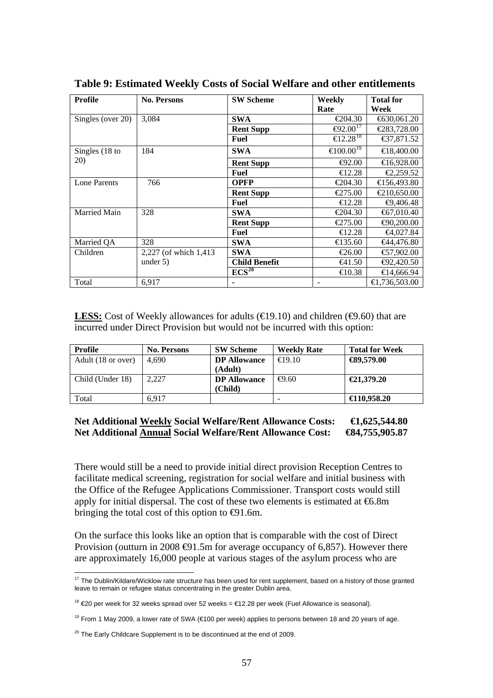| <b>Profile</b>      | <b>No. Persons</b>     | <b>SW Scheme</b>               | Weekly                      | <b>Total for</b>                 |
|---------------------|------------------------|--------------------------------|-----------------------------|----------------------------------|
|                     |                        |                                | Rate                        | Week                             |
| Singles (over 20)   | 3,084                  | <b>SWA</b>                     | €204.30                     | $\textcolor{blue}{6}30,061.20$   |
|                     |                        | <b>Rent Supp</b>               | $\Theta$ 2.00 <sup>17</sup> | $\text{\textsterling}283,728.00$ |
|                     |                        | <b>Fuel</b>                    | € $12.28^{18}$              | €37,871.52                       |
| Singles (18 to      | 184                    | <b>SWA</b>                     | €100.00 <sup>19</sup>       | € 8,400.00                       |
| 20)                 |                        | <b>Rent Supp</b>               | $\bigoplus 2.00$            | €16,928.00                       |
|                     |                        | Fuel                           | $\bigoplus$ 2.28            | €2,259.52                        |
| <b>Lone Parents</b> | 766                    | <b>OPFP</b>                    | €204.30                     | €156,493.80                      |
|                     |                        | <b>Rent Supp</b>               | €275.00                     | $\text{\textsterling}210,650.00$ |
|                     |                        | Fuel                           | $\bigoplus$ 2.28            | $\bigoplus$ ,406.48              |
| Married Main        | 328                    | <b>SWA</b>                     | €204.30                     | €67,010.40                       |
|                     |                        | <b>Rent Supp</b>               | €275.00                     | €90,200.00                       |
|                     |                        | Fuel                           | $\bigoplus$ 2.28            | €4,027.84                        |
| Married QA          | 328                    | <b>SWA</b>                     | €135.60                     | €44,476.80                       |
| Children            | 2,227 (of which 1,413) | <b>SWA</b>                     | €26.00                      | €7,902.00                        |
|                     | under $5$ )            | <b>Child Benefit</b>           | $\epsilon$ 41.50            | ⊕2,420.50                        |
|                     |                        | $\overline{\mathrm{ECS}^{20}}$ | $\bigoplus$ 0.38            | €14,666.94                       |
| Total               | 6,917                  |                                |                             | €1,736,503.00                    |

**Table 9: Estimated Weekly Costs of Social Welfare and other entitlements** 

**LESS:** Cost of Weekly allowances for adults  $(\text{\textsterling}9.10)$  and children  $(\text{\textsterling}9.60)$  that are incurred under Direct Provision but would not be incurred with this option:

| Profile            | <b>No. Persons</b> | <b>SW Scheme</b>    | <b>Weekly Rate</b>       | <b>Total for Week</b> |
|--------------------|--------------------|---------------------|--------------------------|-----------------------|
| Adult (18 or over) | 4.690              | <b>DP</b> Allowance | $\bigoplus$ 9.10         | $\bigoplus$ 9,579.00  |
|                    |                    | (Adult)             |                          |                       |
| Child (Under 18)   | 2.227              | <b>DP</b> Allowance | $\Theta$ .60             | €21,379.20            |
|                    |                    | (Child)             |                          |                       |
| Total              | 6.917              |                     | $\overline{\phantom{a}}$ | $\bigoplus$ 10.958.20 |

#### Net Additional Weekly Social Welfare/Rent Allowance Costs: **€1,625,544.80 Net Additional Annual Social Welfare/Rent Allowance Cost: €84,755,905.87**

There would still be a need to provide initial direct provision Reception Centres to facilitate medical screening, registration for social welfare and initial business with the Office of the Refugee Applications Commissioner. Transport costs would still apply for initial dispersal. The cost of these two elements is estimated at  $6.8m$ bringing the total cost of this option to  $\Theta$ 1.6m.

On the surface this looks like an option that is comparable with the cost of Direct Provision (outturn in 2008  $\bigoplus$ 1.5m for average occupancy of 6,857). However there are approximately 16,000 people at various stages of the asylum process who are

<span id="page-56-0"></span> $\overline{a}$  $17$  The Dublin/Kildare/Wicklow rate structure has been used for rent supplement, based on a history of those granted leave to remain or refugee status concentrating in the greater Dublin area.

<span id="page-56-1"></span><sup>&</sup>lt;sup>18</sup> €20 per week for 32 weeks spread over 52 weeks = €12.28 per week (Fuel Allowance is seasonal).

<span id="page-56-2"></span><sup>&</sup>lt;sup>19</sup> From 1 May 2009, a lower rate of SWA (€100 per week) applies to persons between 18 and 20 years of age.

<span id="page-56-3"></span> $20$  The Early Childcare Supplement is to be discontinued at the end of 2009.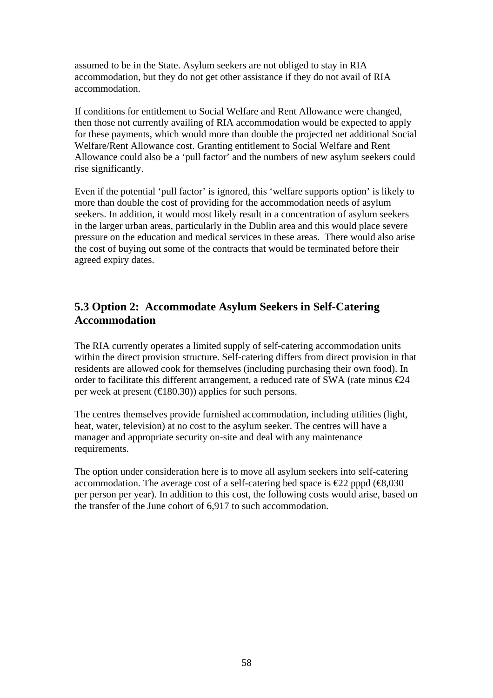assumed to be in the State. Asylum seekers are not obliged to stay in RIA accommodation, but they do not get other assistance if they do not avail of RIA accommodation.

If conditions for entitlement to Social Welfare and Rent Allowance were changed, then those not currently availing of RIA accommodation would be expected to apply for these payments, which would more than double the projected net additional Social Welfare/Rent Allowance cost. Granting entitlement to Social Welfare and Rent Allowance could also be a 'pull factor' and the numbers of new asylum seekers could rise significantly.

Even if the potential 'pull factor' is ignored, this 'welfare supports option' is likely to more than double the cost of providing for the accommodation needs of asylum seekers. In addition, it would most likely result in a concentration of asylum seekers in the larger urban areas, particularly in the Dublin area and this would place severe pressure on the education and medical services in these areas. There would also arise the cost of buying out some of the contracts that would be terminated before their agreed expiry dates.

# **5.3 Option 2: Accommodate Asylum Seekers in Self-Catering Accommodation**

The RIA currently operates a limited supply of self-catering accommodation units within the direct provision structure. Self-catering differs from direct provision in that residents are allowed cook for themselves (including purchasing their own food). In order to facilitate this different arrangement, a reduced rate of SWA (rate minus €24 per week at present ( $\in$ 180.30)) applies for such persons.

The centres themselves provide furnished accommodation, including utilities (light, heat, water, television) at no cost to the asylum seeker. The centres will have a manager and appropriate security on-site and deal with any maintenance requirements.

The option under consideration here is to move all asylum seekers into self-catering accommodation. The average cost of a self-catering bed space is  $\epsilon$ 22 pppd ( $\epsilon$ 8,030 per person per year). In addition to this cost, the following costs would arise, based on the transfer of the June cohort of 6,917 to such accommodation.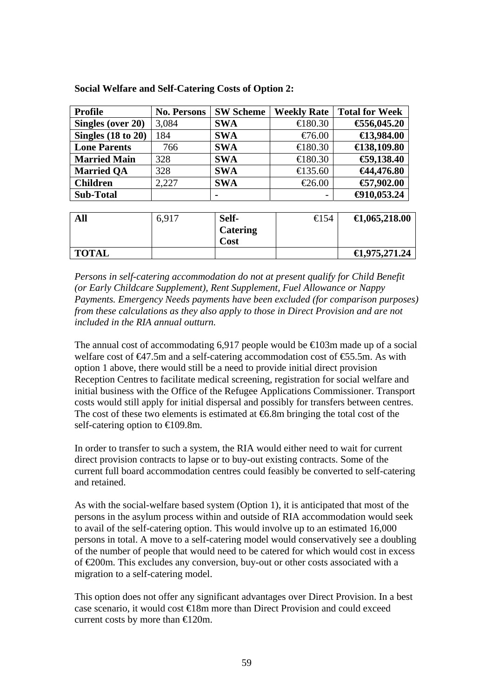| <b>Profile</b>                | <b>No. Persons</b> | <b>SW Scheme</b> | <b>Weekly Rate</b>       | <b>Total for Week</b>   |
|-------------------------------|--------------------|------------------|--------------------------|-------------------------|
| Singles (over 20)             | 3,084              | <b>SWA</b>       | € $80.30$                | €56,045.20              |
| Singles $(18 \text{ to } 20)$ | 184                | <b>SWA</b>       | $\bigoplus$ 6.00         | $\bigoplus$ 3,984.00    |
| <b>Lone Parents</b>           | 766                | <b>SWA</b>       | € 80.30                  | $\bigoplus$ 38,109.80   |
| <b>Married Main</b>           | 328                | <b>SWA</b>       | € 80.30                  | €9,138.40               |
| <b>Married QA</b>             | 328                | <b>SWA</b>       | €135.60                  | €44,476.80              |
| <b>Children</b>               | 2,227              | <b>SWA</b>       | $E$ 6.00                 | € $7,902.00$            |
| <b>Sub-Total</b>              |                    |                  | $\overline{\phantom{0}}$ | $-4910,053.24$          |
|                               |                    |                  |                          |                         |
| All                           | 6,917              | Self-            | $\bigoplus$ 54           | $\bigoplus$ ,065,218.00 |
|                               |                    | <b>Catering</b>  |                          |                         |

**Cost** 

**Social Welfare and Self-Catering Costs of Option 2:** 

*Persons in self-catering accommodation do not at present qualify for Child Benefit (or Early Childcare Supplement), Rent Supplement, Fuel Allowance or Nappy Payments. Emergency Needs payments have been excluded (for comparison purposes) from these calculations as they also apply to those in Direct Provision and are not included in the RIA annual outturn.* 

**TOTAL**  $\qquad \qquad \qquad$ 

The annual cost of accommodating 6,917 people would be  $\epsilon 03m$  made up of a social welfare cost of  $\bigoplus$ 7.5m and a self-catering accommodation cost of  $\bigoplus$ 5.5m. As with option 1 above, there would still be a need to provide initial direct provision Reception Centres to facilitate medical screening, registration for social welfare and initial business with the Office of the Refugee Applications Commissioner. Transport costs would still apply for initial dispersal and possibly for transfers between centres. The cost of these two elements is estimated at  $\epsilon$ 6.8m bringing the total cost of the self-catering option to €109.8m.

In order to transfer to such a system, the RIA would either need to wait for current direct provision contracts to lapse or to buy-out existing contracts. Some of the current full board accommodation centres could feasibly be converted to self-catering and retained.

As with the social-welfare based system (Option 1), it is anticipated that most of the persons in the asylum process within and outside of RIA accommodation would seek to avail of the self-catering option. This would involve up to an estimated 16,000 persons in total. A move to a self-catering model would conservatively see a doubling of the number of people that would need to be catered for which would cost in excess of €200m. This excludes any conversion, buy-out or other costs associated with a migration to a self-catering model.

This option does not offer any significant advantages over Direct Provision. In a best case scenario, it would cost €18m more than Direct Provision and could exceed current costs by more than  $\bigoplus$  20m.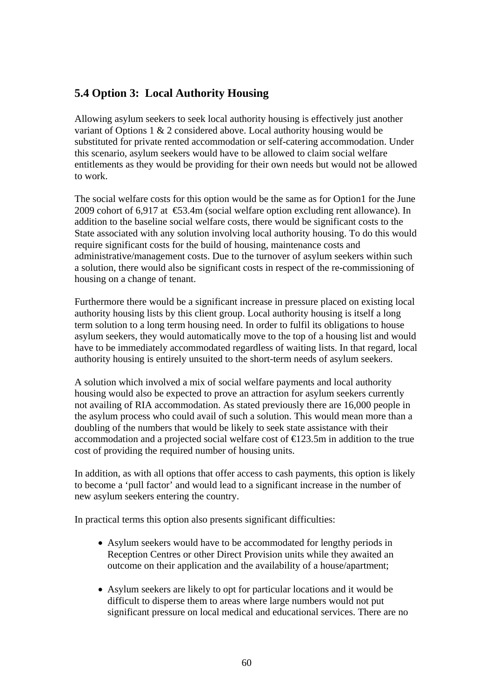# **5.4 Option 3: Local Authority Housing**

Allowing asylum seekers to seek local authority housing is effectively just another variant of Options 1 & 2 considered above. Local authority housing would be substituted for private rented accommodation or self-catering accommodation. Under this scenario, asylum seekers would have to be allowed to claim social welfare entitlements as they would be providing for their own needs but would not be allowed to work.

The social welfare costs for this option would be the same as for Option1 for the June 2009 cohort of 6,917 at  $\text{\textsterling}3.4m$  (social welfare option excluding rent allowance). In addition to the baseline social welfare costs, there would be significant costs to the State associated with any solution involving local authority housing. To do this would require significant costs for the build of housing, maintenance costs and administrative/management costs. Due to the turnover of asylum seekers within such a solution, there would also be significant costs in respect of the re-commissioning of housing on a change of tenant.

Furthermore there would be a significant increase in pressure placed on existing local authority housing lists by this client group. Local authority housing is itself a long term solution to a long term housing need. In order to fulfil its obligations to house asylum seekers, they would automatically move to the top of a housing list and would have to be immediately accommodated regardless of waiting lists. In that regard, local authority housing is entirely unsuited to the short-term needs of asylum seekers.

A solution which involved a mix of social welfare payments and local authority housing would also be expected to prove an attraction for asylum seekers currently not availing of RIA accommodation. As stated previously there are 16,000 people in the asylum process who could avail of such a solution. This would mean more than a doubling of the numbers that would be likely to seek state assistance with their accommodation and a projected social welfare cost of €123.5m in addition to the true cost of providing the required number of housing units.

In addition, as with all options that offer access to cash payments, this option is likely to become a 'pull factor' and would lead to a significant increase in the number of new asylum seekers entering the country.

In practical terms this option also presents significant difficulties:

- Asylum seekers would have to be accommodated for lengthy periods in Reception Centres or other Direct Provision units while they awaited an outcome on their application and the availability of a house/apartment;
- Asylum seekers are likely to opt for particular locations and it would be difficult to disperse them to areas where large numbers would not put significant pressure on local medical and educational services. There are no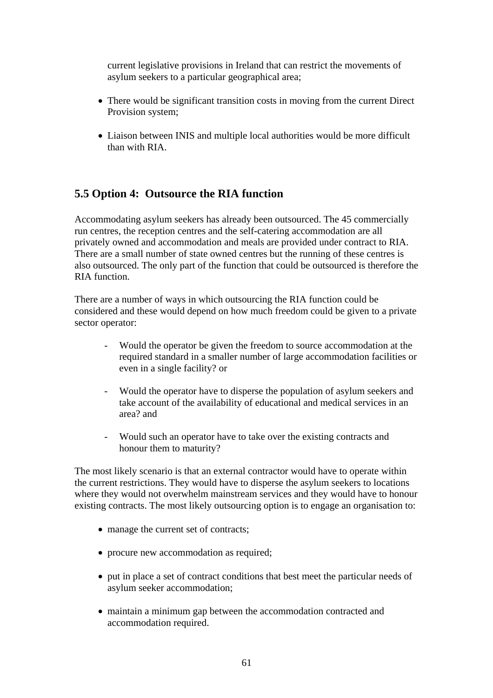current legislative provisions in Ireland that can restrict the movements of asylum seekers to a particular geographical area;

- There would be significant transition costs in moving from the current Direct Provision system;
- Liaison between INIS and multiple local authorities would be more difficult than with RIA.

## **5.5 Option 4: Outsource the RIA function**

Accommodating asylum seekers has already been outsourced. The 45 commercially run centres, the reception centres and the self-catering accommodation are all privately owned and accommodation and meals are provided under contract to RIA. There are a small number of state owned centres but the running of these centres is also outsourced. The only part of the function that could be outsourced is therefore the RIA function.

There are a number of ways in which outsourcing the RIA function could be considered and these would depend on how much freedom could be given to a private sector operator:

- Would the operator be given the freedom to source accommodation at the required standard in a smaller number of large accommodation facilities or even in a single facility? or
- Would the operator have to disperse the population of asylum seekers and take account of the availability of educational and medical services in an area? and
- Would such an operator have to take over the existing contracts and honour them to maturity?

The most likely scenario is that an external contractor would have to operate within the current restrictions. They would have to disperse the asylum seekers to locations where they would not overwhelm mainstream services and they would have to honour existing contracts. The most likely outsourcing option is to engage an organisation to:

- manage the current set of contracts;
- procure new accommodation as required;
- put in place a set of contract conditions that best meet the particular needs of asylum seeker accommodation;
- maintain a minimum gap between the accommodation contracted and accommodation required.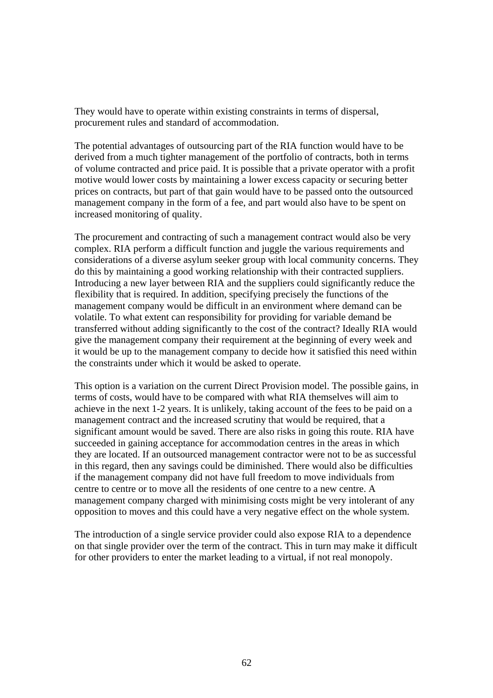They would have to operate within existing constraints in terms of dispersal, procurement rules and standard of accommodation.

The potential advantages of outsourcing part of the RIA function would have to be derived from a much tighter management of the portfolio of contracts, both in terms of volume contracted and price paid. It is possible that a private operator with a profit motive would lower costs by maintaining a lower excess capacity or securing better prices on contracts, but part of that gain would have to be passed onto the outsourced management company in the form of a fee, and part would also have to be spent on increased monitoring of quality.

The procurement and contracting of such a management contract would also be very complex. RIA perform a difficult function and juggle the various requirements and considerations of a diverse asylum seeker group with local community concerns. They do this by maintaining a good working relationship with their contracted suppliers. Introducing a new layer between RIA and the suppliers could significantly reduce the flexibility that is required. In addition, specifying precisely the functions of the management company would be difficult in an environment where demand can be volatile. To what extent can responsibility for providing for variable demand be transferred without adding significantly to the cost of the contract? Ideally RIA would give the management company their requirement at the beginning of every week and it would be up to the management company to decide how it satisfied this need within the constraints under which it would be asked to operate.

This option is a variation on the current Direct Provision model. The possible gains, in terms of costs, would have to be compared with what RIA themselves will aim to achieve in the next 1-2 years. It is unlikely, taking account of the fees to be paid on a management contract and the increased scrutiny that would be required, that a significant amount would be saved. There are also risks in going this route. RIA have succeeded in gaining acceptance for accommodation centres in the areas in which they are located. If an outsourced management contractor were not to be as successful in this regard, then any savings could be diminished. There would also be difficulties if the management company did not have full freedom to move individuals from centre to centre or to move all the residents of one centre to a new centre. A management company charged with minimising costs might be very intolerant of any opposition to moves and this could have a very negative effect on the whole system.

The introduction of a single service provider could also expose RIA to a dependence on that single provider over the term of the contract. This in turn may make it difficult for other providers to enter the market leading to a virtual, if not real monopoly.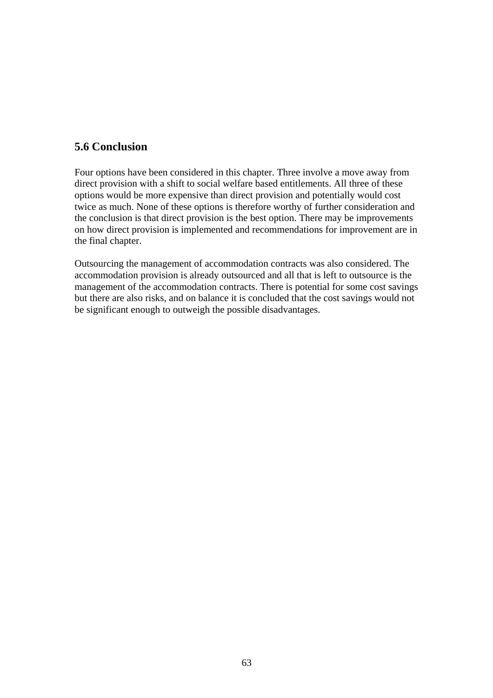## **5.6 Conclusion**

Four options have been considered in this chapter. Three involve a move away from direct provision with a shift to social welfare based entitlements. All three of these options would be more expensive than direct provision and potentially would cost twice as much. None of these options is therefore worthy of further consideration and the conclusion is that direct provision is the best option. There may be improvements on how direct provision is implemented and recommendations for improvement are in the final chapter.

Outsourcing the management of accommodation contracts was also considered. The accommodation provision is already outsourced and all that is left to outsource is the management of the accommodation contracts. There is potential for some cost savings but there are also risks, and on balance it is concluded that the cost savings would not be significant enough to outweigh the possible disadvantages.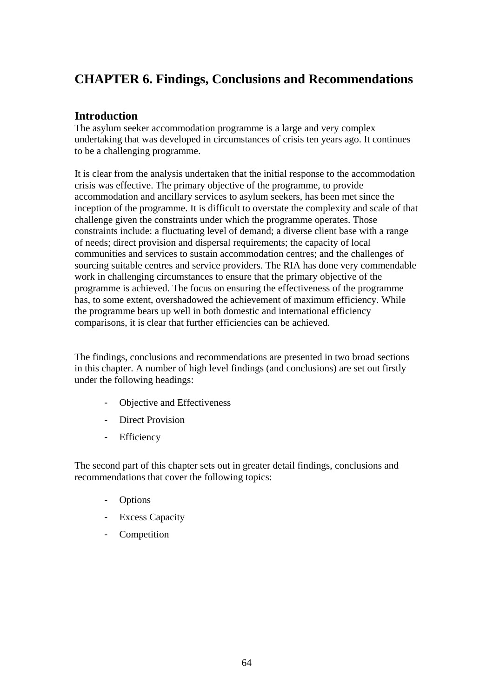# **CHAPTER 6. Findings, Conclusions and Recommendations**

## **Introduction**

The asylum seeker accommodation programme is a large and very complex undertaking that was developed in circumstances of crisis ten years ago. It continues to be a challenging programme.

It is clear from the analysis undertaken that the initial response to the accommodation crisis was effective. The primary objective of the programme, to provide accommodation and ancillary services to asylum seekers, has been met since the inception of the programme. It is difficult to overstate the complexity and scale of that challenge given the constraints under which the programme operates. Those constraints include: a fluctuating level of demand; a diverse client base with a range of needs; direct provision and dispersal requirements; the capacity of local communities and services to sustain accommodation centres; and the challenges of sourcing suitable centres and service providers. The RIA has done very commendable work in challenging circumstances to ensure that the primary objective of the programme is achieved. The focus on ensuring the effectiveness of the programme has, to some extent, overshadowed the achievement of maximum efficiency. While the programme bears up well in both domestic and international efficiency comparisons, it is clear that further efficiencies can be achieved.

The findings, conclusions and recommendations are presented in two broad sections in this chapter. A number of high level findings (and conclusions) are set out firstly under the following headings:

- Objective and Effectiveness
- Direct Provision
- **Efficiency**

The second part of this chapter sets out in greater detail findings, conclusions and recommendations that cover the following topics:

- **Options**
- **Excess Capacity**
- Competition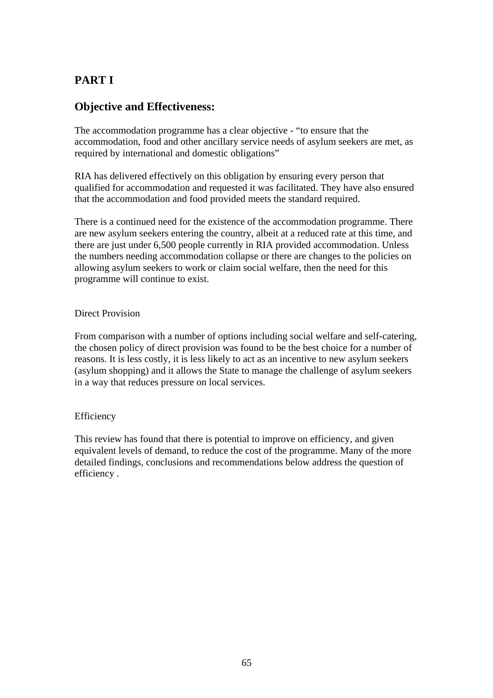# **PART I**

## **Objective and Effectiveness:**

The accommodation programme has a clear objective - "to ensure that the accommodation, food and other ancillary service needs of asylum seekers are met, as required by international and domestic obligations"

RIA has delivered effectively on this obligation by ensuring every person that qualified for accommodation and requested it was facilitated. They have also ensured that the accommodation and food provided meets the standard required.

There is a continued need for the existence of the accommodation programme. There are new asylum seekers entering the country, albeit at a reduced rate at this time, and there are just under 6,500 people currently in RIA provided accommodation. Unless the numbers needing accommodation collapse or there are changes to the policies on allowing asylum seekers to work or claim social welfare, then the need for this programme will continue to exist.

### Direct Provision

From comparison with a number of options including social welfare and self-catering, the chosen policy of direct provision was found to be the best choice for a number of reasons. It is less costly, it is less likely to act as an incentive to new asylum seekers (asylum shopping) and it allows the State to manage the challenge of asylum seekers in a way that reduces pressure on local services.

## Efficiency

This review has found that there is potential to improve on efficiency, and given equivalent levels of demand, to reduce the cost of the programme. Many of the more detailed findings, conclusions and recommendations below address the question of efficiency .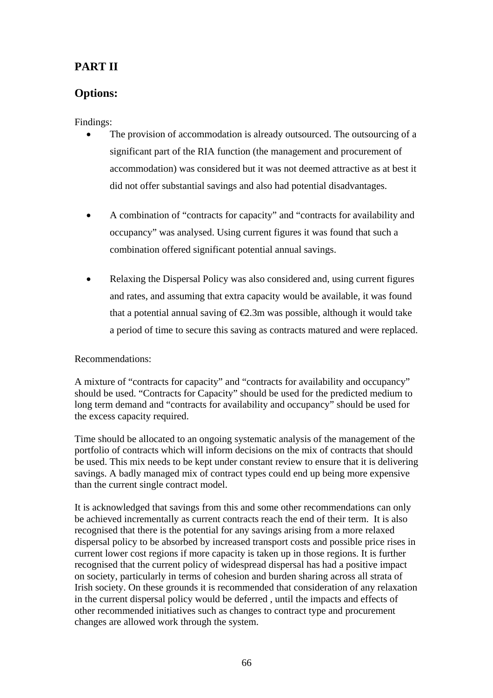# **PART II**

# **Options:**

Findings:

- The provision of accommodation is already outsourced. The outsourcing of a significant part of the RIA function (the management and procurement of accommodation) was considered but it was not deemed attractive as at best it did not offer substantial savings and also had potential disadvantages.
- A combination of "contracts for capacity" and "contracts for availability and occupancy" was analysed. Using current figures it was found that such a combination offered significant potential annual savings.
- Relaxing the Dispersal Policy was also considered and, using current figures and rates, and assuming that extra capacity would be available, it was found that a potential annual saving of  $\epsilon$ 2.3m was possible, although it would take a period of time to secure this saving as contracts matured and were replaced.

## Recommendations:

A mixture of "contracts for capacity" and "contracts for availability and occupancy" should be used. "Contracts for Capacity" should be used for the predicted medium to long term demand and "contracts for availability and occupancy" should be used for the excess capacity required.

Time should be allocated to an ongoing systematic analysis of the management of the portfolio of contracts which will inform decisions on the mix of contracts that should be used. This mix needs to be kept under constant review to ensure that it is delivering savings. A badly managed mix of contract types could end up being more expensive than the current single contract model.

It is acknowledged that savings from this and some other recommendations can only be achieved incrementally as current contracts reach the end of their term. It is also recognised that there is the potential for any savings arising from a more relaxed dispersal policy to be absorbed by increased transport costs and possible price rises in current lower cost regions if more capacity is taken up in those regions. It is further recognised that the current policy of widespread dispersal has had a positive impact on society, particularly in terms of cohesion and burden sharing across all strata of Irish society. On these grounds it is recommended that consideration of any relaxation in the current dispersal policy would be deferred , until the impacts and effects of other recommended initiatives such as changes to contract type and procurement changes are allowed work through the system.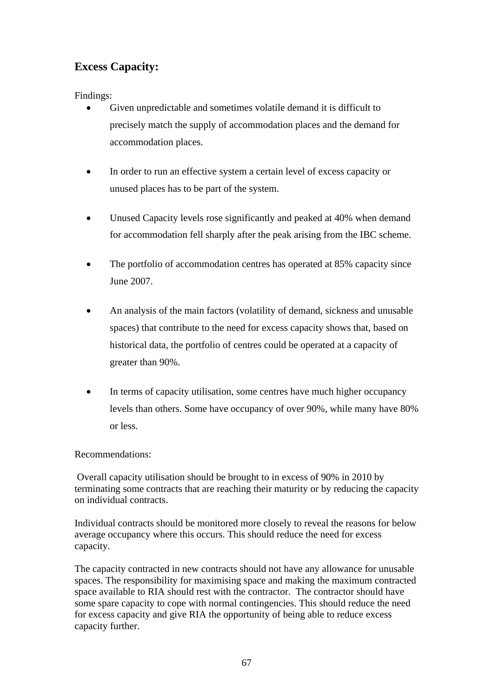# **Excess Capacity:**

Findings:

- Given unpredictable and sometimes volatile demand it is difficult to precisely match the supply of accommodation places and the demand for accommodation places.
- In order to run an effective system a certain level of excess capacity or unused places has to be part of the system.
- Unused Capacity levels rose significantly and peaked at 40% when demand for accommodation fell sharply after the peak arising from the IBC scheme.
- The portfolio of accommodation centres has operated at 85% capacity since June 2007.
- An analysis of the main factors (volatility of demand, sickness and unusable spaces) that contribute to the need for excess capacity shows that, based on historical data, the portfolio of centres could be operated at a capacity of greater than 90%.
- In terms of capacity utilisation, some centres have much higher occupancy levels than others. Some have occupancy of over 90%, while many have 80% or less.

Recommendations:

 Overall capacity utilisation should be brought to in excess of 90% in 2010 by terminating some contracts that are reaching their maturity or by reducing the capacity on individual contracts.

Individual contracts should be monitored more closely to reveal the reasons for below average occupancy where this occurs. This should reduce the need for excess capacity.

The capacity contracted in new contracts should not have any allowance for unusable spaces. The responsibility for maximising space and making the maximum contracted space available to RIA should rest with the contractor. The contractor should have some spare capacity to cope with normal contingencies. This should reduce the need for excess capacity and give RIA the opportunity of being able to reduce excess capacity further.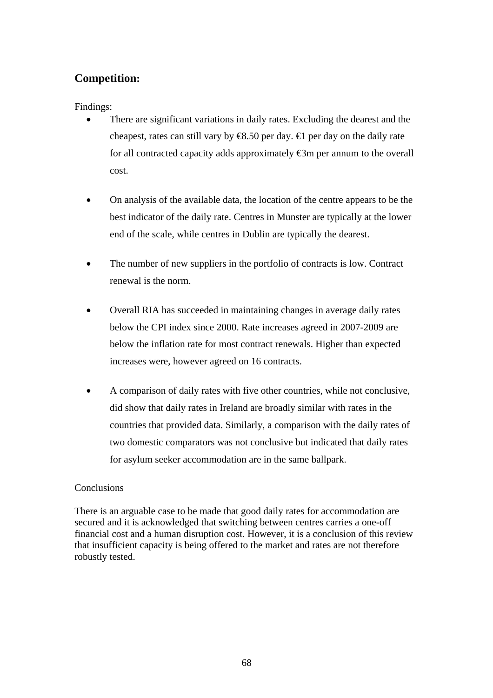# **Competition:**

Findings:

- There are significant variations in daily rates. Excluding the dearest and the cheapest, rates can still vary by  $\mathcal{R}S.50$  per day.  $\mathcal{L}$  per day on the daily rate for all contracted capacity adds approximately  $\bigoplus$ m per annum to the overall cost.
- On analysis of the available data, the location of the centre appears to be the best indicator of the daily rate. Centres in Munster are typically at the lower end of the scale, while centres in Dublin are typically the dearest.
- The number of new suppliers in the portfolio of contracts is low. Contract renewal is the norm.
- Overall RIA has succeeded in maintaining changes in average daily rates below the CPI index since 2000. Rate increases agreed in 2007-2009 are below the inflation rate for most contract renewals. Higher than expected increases were, however agreed on 16 contracts.
- A comparison of daily rates with five other countries, while not conclusive, did show that daily rates in Ireland are broadly similar with rates in the countries that provided data. Similarly, a comparison with the daily rates of two domestic comparators was not conclusive but indicated that daily rates for asylum seeker accommodation are in the same ballpark.

## Conclusions

There is an arguable case to be made that good daily rates for accommodation are secured and it is acknowledged that switching between centres carries a one-off financial cost and a human disruption cost. However, it is a conclusion of this review that insufficient capacity is being offered to the market and rates are not therefore robustly tested.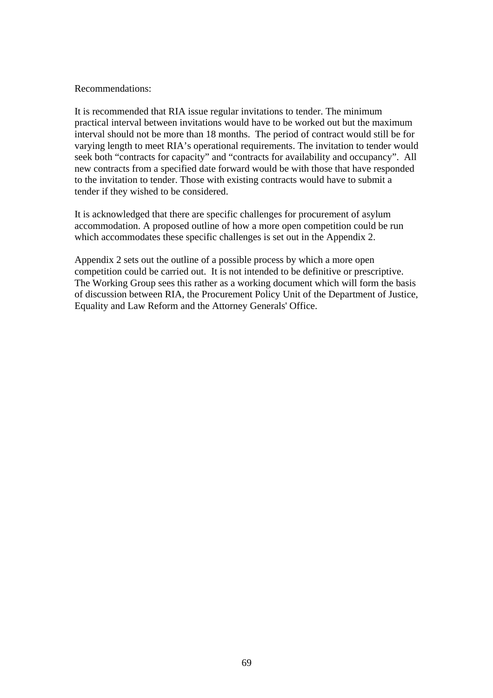#### Recommendations:

It is recommended that RIA issue regular invitations to tender. The minimum practical interval between invitations would have to be worked out but the maximum interval should not be more than 18 months. The period of contract would still be for varying length to meet RIA's operational requirements. The invitation to tender would seek both "contracts for capacity" and "contracts for availability and occupancy". All new contracts from a specified date forward would be with those that have responded to the invitation to tender. Those with existing contracts would have to submit a tender if they wished to be considered.

It is acknowledged that there are specific challenges for procurement of asylum accommodation. A proposed outline of how a more open competition could be run which accommodates these specific challenges is set out in the Appendix 2.

Appendix 2 sets out the outline of a possible process by which a more open competition could be carried out. It is not intended to be definitive or prescriptive. The Working Group sees this rather as a working document which will form the basis of discussion between RIA, the Procurement Policy Unit of the Department of Justice, Equality and Law Reform and the Attorney Generals' Office.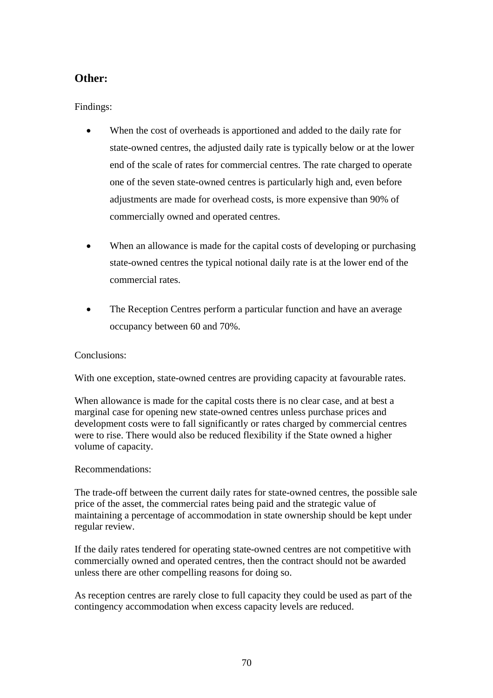## **Other:**

Findings:

- When the cost of overheads is apportioned and added to the daily rate for state-owned centres, the adjusted daily rate is typically below or at the lower end of the scale of rates for commercial centres. The rate charged to operate one of the seven state-owned centres is particularly high and, even before adjustments are made for overhead costs, is more expensive than 90% of commercially owned and operated centres.
- When an allowance is made for the capital costs of developing or purchasing state-owned centres the typical notional daily rate is at the lower end of the commercial rates.
- The Reception Centres perform a particular function and have an average occupancy between 60 and 70%.

## Conclusions:

With one exception, state-owned centres are providing capacity at favourable rates.

When allowance is made for the capital costs there is no clear case, and at best a marginal case for opening new state-owned centres unless purchase prices and development costs were to fall significantly or rates charged by commercial centres were to rise. There would also be reduced flexibility if the State owned a higher volume of capacity.

#### Recommendations:

The trade-off between the current daily rates for state-owned centres, the possible sale price of the asset, the commercial rates being paid and the strategic value of maintaining a percentage of accommodation in state ownership should be kept under regular review.

If the daily rates tendered for operating state-owned centres are not competitive with commercially owned and operated centres, then the contract should not be awarded unless there are other compelling reasons for doing so.

As reception centres are rarely close to full capacity they could be used as part of the contingency accommodation when excess capacity levels are reduced.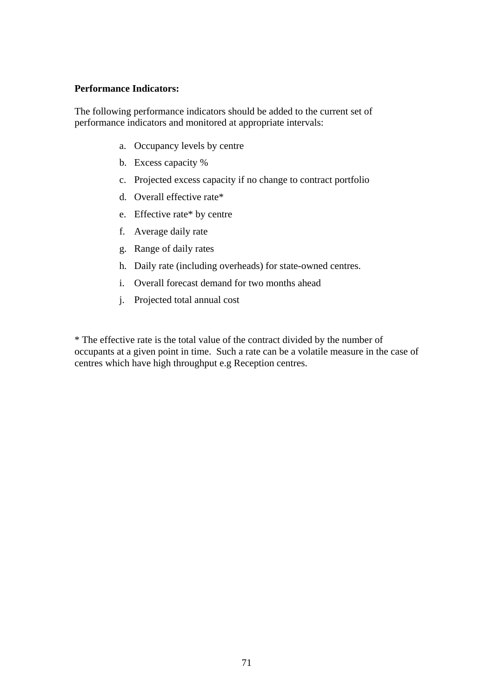#### **Performance Indicators:**

The following performance indicators should be added to the current set of performance indicators and monitored at appropriate intervals:

- a. Occupancy levels by centre
- b. Excess capacity %
- c. Projected excess capacity if no change to contract portfolio
- d. Overall effective rate\*
- e. Effective rate\* by centre
- f. Average daily rate
- g. Range of daily rates
- h. Daily rate (including overheads) for state-owned centres.
- i. Overall forecast demand for two months ahead
- j. Projected total annual cost

\* The effective rate is the total value of the contract divided by the number of occupants at a given point in time. Such a rate can be a volatile measure in the case of centres which have high throughput e.g Reception centres.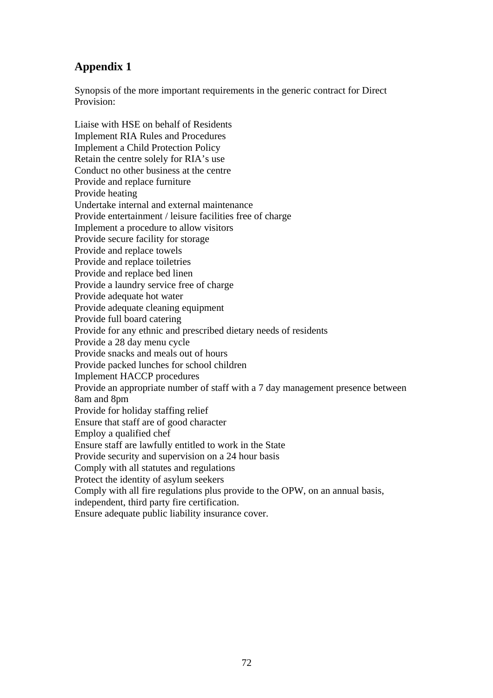# **Appendix 1**

Synopsis of the more important requirements in the generic contract for Direct Provision:

Liaise with HSE on behalf of Residents Implement RIA Rules and Procedures Implement a Child Protection Policy Retain the centre solely for RIA's use Conduct no other business at the centre Provide and replace furniture Provide heating Undertake internal and external maintenance Provide entertainment / leisure facilities free of charge Implement a procedure to allow visitors Provide secure facility for storage Provide and replace towels Provide and replace toiletries Provide and replace bed linen Provide a laundry service free of charge Provide adequate hot water Provide adequate cleaning equipment Provide full board catering Provide for any ethnic and prescribed dietary needs of residents Provide a 28 day menu cycle Provide snacks and meals out of hours Provide packed lunches for school children Implement HACCP procedures Provide an appropriate number of staff with a 7 day management presence between 8am and 8pm Provide for holiday staffing relief Ensure that staff are of good character Employ a qualified chef Ensure staff are lawfully entitled to work in the State Provide security and supervision on a 24 hour basis Comply with all statutes and regulations Protect the identity of asylum seekers Comply with all fire regulations plus provide to the OPW, on an annual basis, independent, third party fire certification. Ensure adequate public liability insurance cover.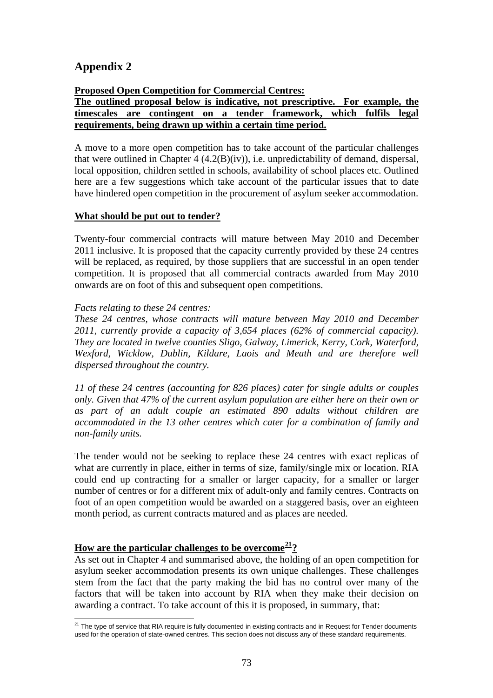## **Appendix 2**

#### **Proposed Open Competition for Commercial Centres:**

#### **The outlined proposal below is indicative, not prescriptive. For example, the timescales are contingent on a tender framework, which fulfils legal requirements, being drawn up within a certain time period.**

A move to a more open competition has to take account of the particular challenges that were outlined in Chapter 4 (4.2(B)(iv)), i.e. unpredictability of demand, dispersal, local opposition, children settled in schools, availability of school places etc. Outlined here are a few suggestions which take account of the particular issues that to date have hindered open competition in the procurement of asylum seeker accommodation.

#### **What should be put out to tender?**

Twenty-four commercial contracts will mature between May 2010 and December 2011 inclusive. It is proposed that the capacity currently provided by these 24 centres will be replaced, as required, by those suppliers that are successful in an open tender competition. It is proposed that all commercial contracts awarded from May 2010 onwards are on foot of this and subsequent open competitions.

#### *Facts relating to these 24 centres:*

*These 24 centres, whose contracts will mature between May 2010 and December 2011, currently provide a capacity of 3,654 places (62% of commercial capacity). They are located in twelve counties Sligo, Galway, Limerick, Kerry, Cork, Waterford, Wexford, Wicklow, Dublin, Kildare, Laois and Meath and are therefore well dispersed throughout the country.* 

*11 of these 24 centres (accounting for 826 places) cater for single adults or couples only. Given that 47% of the current asylum population are either here on their own or as part of an adult couple an estimated 890 adults without children are accommodated in the 13 other centres which cater for a combination of family and non-family units.* 

The tender would not be seeking to replace these 24 centres with exact replicas of what are currently in place, either in terms of size, family/single mix or location. RIA could end up contracting for a smaller or larger capacity, for a smaller or larger number of centres or for a different mix of adult-only and family centres. Contracts on foot of an open competition would be awarded on a staggered basis, over an eighteen month period, as current contracts matured and as places are needed.

### **How are the particular challenges to be overcome[21](#page-72-0)?**

As set out in Chapter 4 and summarised above, the holding of an open competition for asylum seeker accommodation presents its own unique challenges. These challenges stem from the fact that the party making the bid has no control over many of the factors that will be taken into account by RIA when they make their decision on awarding a contract. To take account of this it is proposed, in summary, that:

<span id="page-72-0"></span> $\overline{a}$  $^{21}$  The type of service that RIA require is fully documented in existing contracts and in Request for Tender documents used for the operation of state-owned centres. This section does not discuss any of these standard requirements.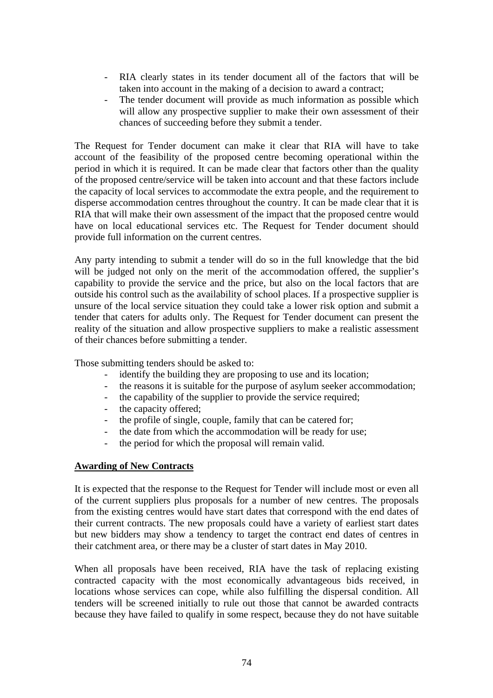- RIA clearly states in its tender document all of the factors that will be taken into account in the making of a decision to award a contract;
- The tender document will provide as much information as possible which will allow any prospective supplier to make their own assessment of their chances of succeeding before they submit a tender.

The Request for Tender document can make it clear that RIA will have to take account of the feasibility of the proposed centre becoming operational within the period in which it is required. It can be made clear that factors other than the quality of the proposed centre/service will be taken into account and that these factors include the capacity of local services to accommodate the extra people, and the requirement to disperse accommodation centres throughout the country. It can be made clear that it is RIA that will make their own assessment of the impact that the proposed centre would have on local educational services etc. The Request for Tender document should provide full information on the current centres.

Any party intending to submit a tender will do so in the full knowledge that the bid will be judged not only on the merit of the accommodation offered, the supplier's capability to provide the service and the price, but also on the local factors that are outside his control such as the availability of school places. If a prospective supplier is unsure of the local service situation they could take a lower risk option and submit a tender that caters for adults only. The Request for Tender document can present the reality of the situation and allow prospective suppliers to make a realistic assessment of their chances before submitting a tender.

Those submitting tenders should be asked to:

- identify the building they are proposing to use and its location;
- the reasons it is suitable for the purpose of asylum seeker accommodation;
- the capability of the supplier to provide the service required;
- the capacity offered;
- the profile of single, couple, family that can be catered for;
- the date from which the accommodation will be ready for use;
- the period for which the proposal will remain valid.

#### **Awarding of New Contracts**

It is expected that the response to the Request for Tender will include most or even all of the current suppliers plus proposals for a number of new centres. The proposals from the existing centres would have start dates that correspond with the end dates of their current contracts. The new proposals could have a variety of earliest start dates but new bidders may show a tendency to target the contract end dates of centres in their catchment area, or there may be a cluster of start dates in May 2010.

When all proposals have been received, RIA have the task of replacing existing contracted capacity with the most economically advantageous bids received, in locations whose services can cope, while also fulfilling the dispersal condition. All tenders will be screened initially to rule out those that cannot be awarded contracts because they have failed to qualify in some respect, because they do not have suitable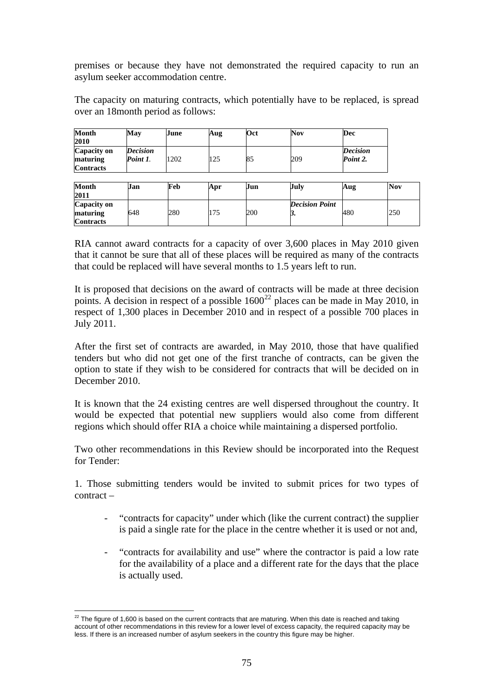premises or because they have not demonstrated the required capacity to run an asylum seeker accommodation centre.

The capacity on maturing contracts, which potentially have to be replaced, is spread over an 18month period as follows:

| <b>Month</b><br>2010                               | May                         | June | Aug | Oct | <b>Nov</b>                  | Dec                         |            |
|----------------------------------------------------|-----------------------------|------|-----|-----|-----------------------------|-----------------------------|------------|
| <b>Capacity on</b><br>maturing<br><b>Contracts</b> | <b>Decision</b><br>Point 1. | 1202 | 125 | 85  | 209                         | <b>Decision</b><br>Point 2. |            |
| <b>Month</b><br>2011                               | Jan                         | Feb  | Apr | Jun | July                        | Aug                         | <b>Nov</b> |
| Capacity on<br>maturing<br><b>Contracts</b>        | 648                         | 280  | 175 | 200 | <b>Decision Point</b><br>3. | 480                         | 250        |

RIA cannot award contracts for a capacity of over 3,600 places in May 2010 given that it cannot be sure that all of these places will be required as many of the contracts that could be replaced will have several months to 1.5 years left to run.

It is proposed that decisions on the award of contracts will be made at three decision points. A decision in respect of a possible  $1600^{22}$  $1600^{22}$  $1600^{22}$  places can be made in May 2010, in respect of 1,300 places in December 2010 and in respect of a possible 700 places in July 2011.

After the first set of contracts are awarded, in May 2010, those that have qualified tenders but who did not get one of the first tranche of contracts, can be given the option to state if they wish to be considered for contracts that will be decided on in December 2010.

It is known that the 24 existing centres are well dispersed throughout the country. It would be expected that potential new suppliers would also come from different regions which should offer RIA a choice while maintaining a dispersed portfolio.

Two other recommendations in this Review should be incorporated into the Request for Tender:

1. Those submitting tenders would be invited to submit prices for two types of contract –

- "contracts for capacity" under which (like the current contract) the supplier is paid a single rate for the place in the centre whether it is used or not and,
- "contracts for availability and use" where the contractor is paid a low rate for the availability of a place and a different rate for the days that the place is actually used.

<span id="page-74-0"></span> $\overline{a}$  $^{22}$  The figure of 1,600 is based on the current contracts that are maturing. When this date is reached and taking account of other recommendations in this review for a lower level of excess capacity, the required capacity may be less. If there is an increased number of asylum seekers in the country this figure may be higher.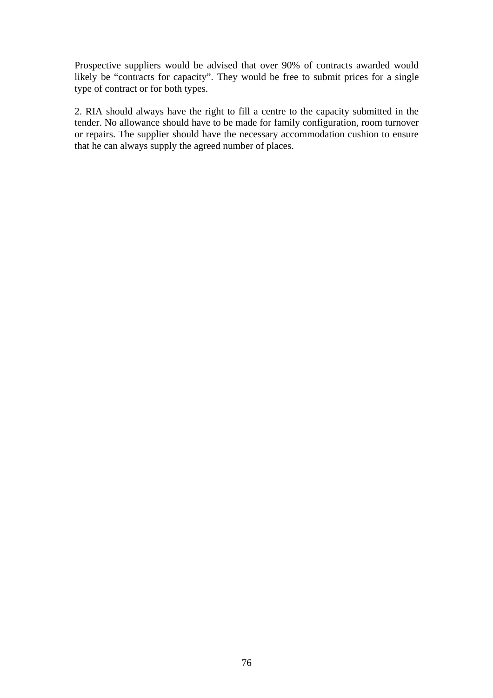Prospective suppliers would be advised that over 90% of contracts awarded would likely be "contracts for capacity". They would be free to submit prices for a single type of contract or for both types.

2. RIA should always have the right to fill a centre to the capacity submitted in the tender. No allowance should have to be made for family configuration, room turnover or repairs. The supplier should have the necessary accommodation cushion to ensure that he can always supply the agreed number of places.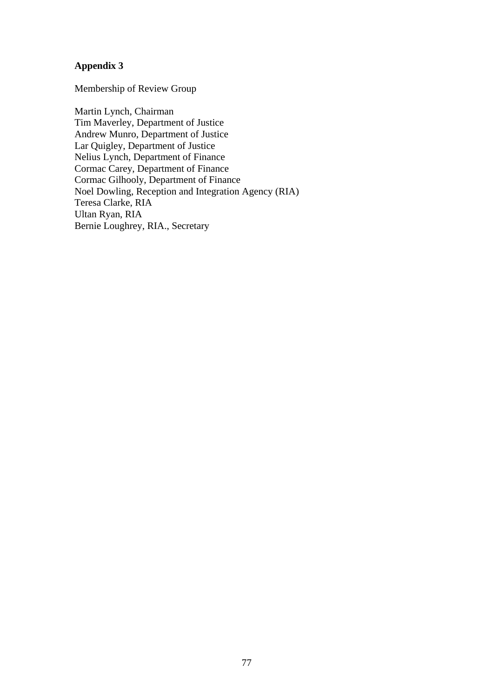#### **Appendix 3**

Membership of Review Group

Martin Lynch, Chairman Tim Maverley, Department of Justice Andrew Munro, Department of Justice Lar Quigley, Department of Justice Nelius Lynch, Department of Finance Cormac Carey, Department of Finance Cormac Gilhooly, Department of Finance Noel Dowling, Reception and Integration Agency (RIA) Teresa Clarke, RIA Ultan Ryan, RIA Bernie Loughrey, RIA., Secretary